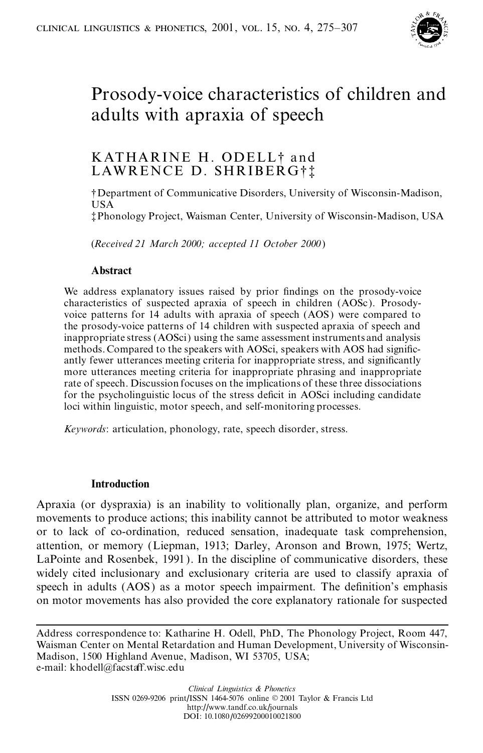

# Prosody-voice characteristics of children and adults with apraxia of speech

# KATHARINE H. ODELL<sup>†</sup> and LAWRENCE D. SHRIBERG†!

² Department of Communicative Disorders, University of Wisconsin-Madison, USA

³ Phonology Project, Waisman Center, University of Wisconsin-Madison, USA

(*Received 21 March 2000; accepted 11 October 2000*)

# **Abstract**

We address explanatory issues raised by prior findings on the prosody-voice characteristics of suspected apraxia of speech in children (AOSc ). Prosodyvoice patterns for 14 adults with apraxia of speech (AOS) were compared to the prosody-voice patterns of 14 children with suspected apraxia of speech and inappropriate stress (AOSci) using the same assessment instruments and analysis methods. Compared to the speakers with AOSci, speakers with AOS had significantly fewer utterances meeting criteria for inappropriate stress, and significantly more utterances meeting criteria for inappropriate phrasing and inappropriate rate of speech. Discussion focuses on the implications of these three dissociations for the psycholinguistic locus of the stress deficit in AOSci including candidate loci within linguistic, motor speech, and self-monitoring processes.

*Keywords*: articulation, phonology, rate, speech disorder, stress.

# **Introduction**

Apraxia (or dyspraxia) is an inability to volitionally plan, organize, and perform movements to produce actions; this inability cannot be attributed to motor weakness or to lack of co-ordination, reduced sensation, inadequate task comprehension, attention, or memory (Liepman, 1913; Darley, Aronson and Brown, 1975; Wertz, LaPointe and Rosenbek, 1991 ). In the discipline of communicative disorders, these widely cited inclusionary and exclusionary criteria are used to classify apraxia of speech in adults (AOS) as a motor speech impairment. The definition's emphasis on motor movements has also provided the core explanatory rationale for suspected

Address correspondence to: Katharine H. Odell, PhD, The Phonology Project, Room 447, Waisman Center on Mental Retardation and Human Development, University of Wisconsin-Madison, 1500 Highland Avenue, Madison, WI 53705, USA; e-mail: khodell@facstaff.wisc.edu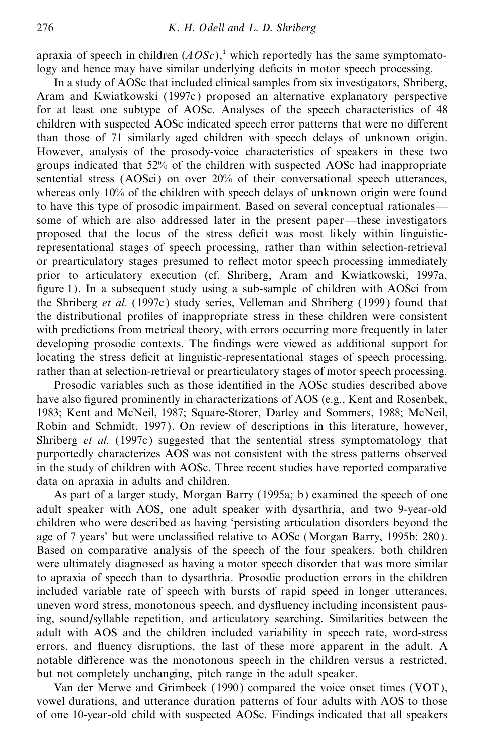apraxia of speech in children  $(AOSc)$ ,<sup>1</sup> which reportedly has the same symptomatology and hence may have similar underlying deficits in motor speech processing.

In a study of AOSc that included clinical samples from six investigators, Shriberg, Aram and Kwiatkowski (1997c ) proposed an alternative explanatory perspective for at least one subtype of AOSc. Analyses of the speech characteristics of 48 children with suspected AOSc indicated speech error patterns that were no different than those of 71 similarly aged children with speech delays of unknown origin. However, analysis of the prosody-voice characteristics of speakers in these two groups indicated that 52% of the children with suspected AOSc had inappropriate sentential stress (AOSci) on over 20% of their conversational speech utterances, whereas only 10% of the children with speech delays of unknown origin were found to have this type of prosodic impairment. Based on several conceptual rationales some of which are also addressed later in the present paper—these investigators proposed that the locus of the stress deficit was most likely within linguisticrepresentational stages of speech processing, rather than within selection-retrieval or prearticulatory stages presumed to reflect motor speech processing immediately prior to articulatory execution (cf. Shriberg, Aram and Kwiatkowski, 1997a, figure 1). In a subsequent study using a sub-sample of children with AOSci from the Shriberg *et al.* (1997c ) study series, Velleman and Shriberg (1999 ) found that the distributional profiles of inappropriate stress in these children were consistent with predictions from metrical theory, with errors occurring more frequently in later developing prosodic contexts. The findings were viewed as additional support for locating the stress deficit at linguistic-representational stages of speech processing, rather than at selection-retrieval or prearticulatory stages of motor speech processing.

Prosodic variables such as those identified in the AOSc studies described above have also figured prominently in characterizations of AOS (e.g., Kent and Rosenbek, 1983; Kent and McNeil, 1987; Square-Storer, Darley and Sommers, 1988; McNeil, Robin and Schmidt, 1997 ). On review of descriptions in this literature, however, Shriberg *et al.* (1997c) suggested that the sentential stress symptomatology that purportedly characterizes AOS was not consistent with the stress patterns observed in the study of children with AOSc. Three recent studies have reported comparative data on apraxia in adults and children.

As part of a larger study, Morgan Barry (1995a; b) examined the speech of one adult speaker with AOS, one adult speaker with dysarthria, and two 9-year-old children who were described as having `persisting articulation disorders beyond the age of 7 years' but were unclassified relative to AOSc (Morgan Barry, 1995b: 280). Based on comparative analysis of the speech of the four speakers, both children were ultimately diagnosed as having a motor speech disorder that was more similar to apraxia of speech than to dysarthria. Prosodic production errors in the children included variable rate of speech with bursts of rapid speed in longer utterances, uneven word stress, monotonous speech, and dysfluency including inconsistent pausing, sound/syllable repetition, and articulatory searching. Similarities between the adult with AOS and the children included variability in speech rate, word-stress errors, and fluency disruptions, the last of these more apparent in the adult. A notable difference was the monotonous speech in the children versus a restricted, but not completely unchanging, pitch range in the adult speaker.

Van der Merwe and Grimbeek (1990 ) compared the voice onset times (VOT), vowel durations, and utterance duration patterns of four adults with AOS to those of one 10-year-old child with suspected AOSc. Findings indicated that all speakers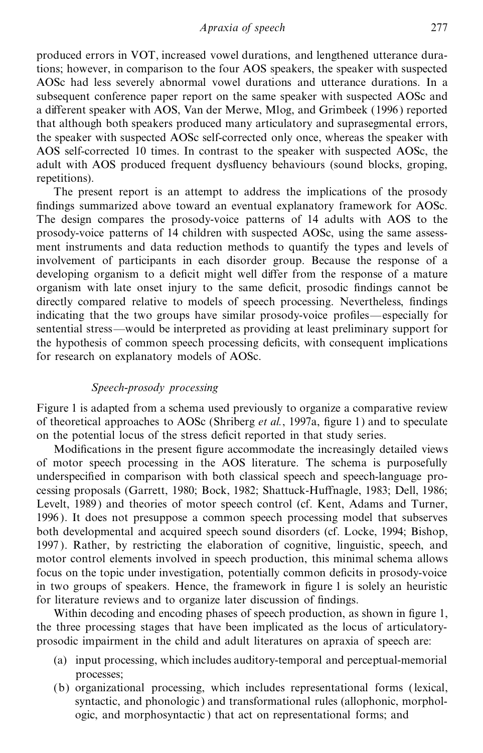produced errors in VOT, increased vowel durations, and lengthened utterance durations; however, in comparison to the four AOS speakers, the speaker with suspected AOSc had less severely abnormal vowel durations and utterance durations. In a subsequent conference paper report on the same speaker with suspected AOSc and a different speaker with AOS, Van der Merwe, Mlog, and Grimbeek (1996) reported that although both speakers produced many articulatory and suprasegmental errors, the speaker with suspected AOSc self-corrected only once, whereas the speaker with AOS self-corrected 10 times. In contrast to the speaker with suspected AOSc, the adult with AOS produced frequent dysfluency behaviours (sound blocks, groping, repetitions).

The present report is an attempt to address the implications of the prosody findings summarized above toward an eventual explanatory framework for AOSc. The design compares the prosody-voice patterns of 14 adults with AOS to the prosody-voice patterns of 14 children with suspected AOSc, using the same assessment instruments and data reduction methods to quantify the types and levels of involvement of participants in each disorder group. Because the response of a developing organism to a deficit might well differ from the response of a mature organism with late onset injury to the same deficit, prosodic findings cannot be directly compared relative to models of speech processing. Nevertheless, findings indicating that the two groups have similar prosody-voice profiles—especially for sentential stress—would be interpreted as providing at least preliminary support for the hypothesis of common speech processing deficits, with consequent implications for research on explanatory models of AOSc.

# *Speech-prosody processing*

Figure 1 is adapted from a schema used previously to organize a comparative review of theoretical approaches to AOSc (Shriberg *et al.*, 1997a, figure 1) and to speculate on the potential locus of the stress deficit reported in that study series.

Modifications in the present figure accommodate the increasingly detailed views of motor speech processing in the AOS literature. The schema is purposefully underspecified in comparison with both classical speech and speech-language processing proposals (Garrett, 1980; Bock, 1982; Shattuck-Huffnagle, 1983; Dell, 1986; Levelt, 1989) and theories of motor speech control (cf. Kent, Adams and Turner, 1996 ).It does not presuppose a common speech processing model that subserves both developmental and acquired speech sound disorders (cf. Locke, 1994; Bishop, 1997 ).Rather, by restricting the elaboration of cognitive, linguistic, speech, and motor control elements involved in speech production, this minimal schema allows focus on the topic under investigation, potentially common deficits in prosody-voice in two groups of speakers. Hence, the framework in figure  $1$  is solely an heuristic for literature reviews and to organize later discussion of findings.

Within decoding and encoding phases of speech production, as shown in figure 1, the three processing stages that have been implicated as the locus of articulatoryprosodic impairment in the child and adult literatures on apraxia of speech are:

- (a) input processing, which includes auditory-temporal and perceptual-memorial processes;
- (b) organizational processing, which includes representational forms (lexical, syntactic, and phonologic ) and transformational rules (allophonic, morphologic, and morphosyntactic ) that act on representational forms; and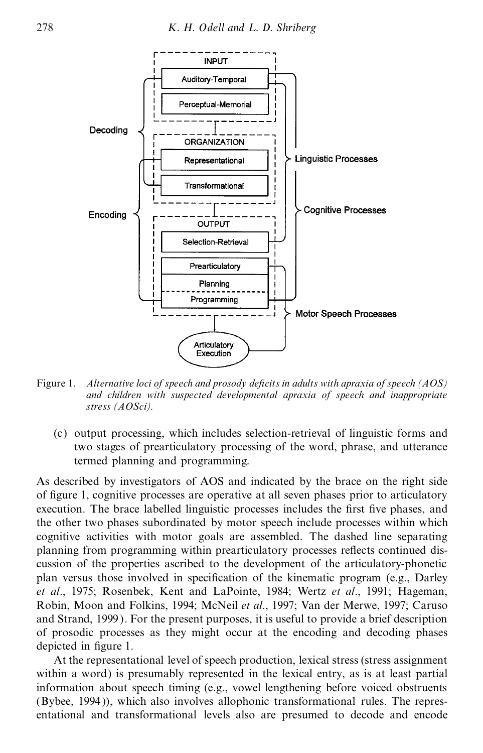

Figure 1. *Alternative loci of speech and prosody deWcits in adults with apraxia of speech (AOS) and children with suspected developmental apraxia of speech and inappropriate stress (AOSci).*

(c) output processing, which includes selection-retrieval of linguistic forms and two stages of prearticulatory processing of the word, phrase, and utterance termed planning and programming.

As described by investigators of AOS and indicated by the brace on the right side of figure 1, cognitive processes are operative at all seven phases prior to articulatory execution. The brace labelled linguistic processes includes the first five phases, and the other two phases subordinated by motor speech include processes within which cognitive activities with motor goals are assembled. The dashed line separating planning from programming within prearticulatory processes reflects continued discussion of the properties ascribed to the development of the articulatory-phonetic plan versus those involved in specification of the kinematic program (e.g., Darley *et al*., 1975; Rosenbek, Kent and LaPointe, 1984; Wertz *et al*., 1991; Hageman, Robin, Moon and Folkins, 1994; McNeil *et al*., 1997; Van der Merwe, 1997; Caruso and Strand, 1999). For the present purposes, it is useful to provide a brief description of prosodic processes as they might occur at the encoding and decoding phases depicted in figure 1.

At the representational level of speech production, lexical stress (stress assignment within a word) is presumably represented in the lexical entry, as is at least partial information about speech timing (e.g., vowel lengthening before voiced obstruents (Bybee, 1994 )), which also involves allophonic transformational rules. The representational and transformational levels also are presumed to decode and encode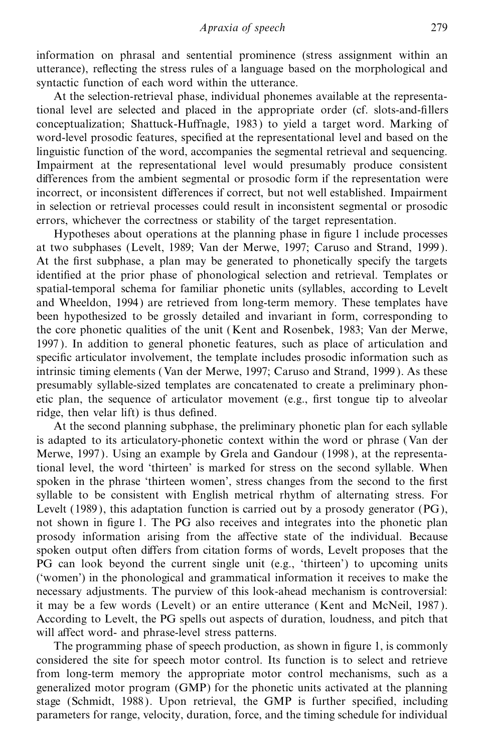information on phrasal and sentential prominence (stress assignment within an utterance), reflecting the stress rules of a language based on the morphological and syntactic function of each word within the utterance.

At the selection-retrieval phase, individual phonemes available at the representational level are selected and placed in the appropriate order (cf. slots-and-fillers conceptualization; Shattuck-Huffnagle, 1983) to yield a target word. Marking of word-level prosodic features, specified at the representational level and based on the linguistic function of the word, accompanies the segmental retrieval and sequencing. Impairment at the representational level would presumably produce consistent differences from the ambient segmental or prosodic form if the representation were incorrect, or inconsistent differences if correct, but not well established. Impairment in selection or retrieval processes could result in inconsistent segmental or prosodic errors, whichever the correctness or stability of the target representation.

Hypotheses about operations at the planning phase in figure 1 include processes at two subphases (Levelt, 1989; Van der Merwe, 1997; Caruso and Strand, 1999 ). At the first subphase, a plan may be generated to phonetically specify the targets identified at the prior phase of phonological selection and retrieval. Templates or spatial-temporal schema for familiar phonetic units (syllables, according to Levelt and Wheeldon, 1994) are retrieved from long-term memory. These templates have been hypothesized to be grossly detailed and invariant in form, corresponding to the core phonetic qualities of the unit (Kent and Rosenbek, 1983; Van der Merwe, 1997 ).In addition to general phonetic features, such as place of articulation and specific articulator involvement, the template includes prosodic information such as intrinsic timing elements (Van der Merwe, 1997; Caruso and Strand, 1999 ). As these presumably syllable-sized templates are concatenated to create a preliminary phonetic plan, the sequence of articulator movement (e.g., first tongue tip to alveolar ridge, then velar lift) is thus defined.

At the second planning subphase, the preliminary phonetic plan for each syllable is adapted to its articulatory-phonetic context within the word or phrase (Van der Merwe, 1997 ). Using an example by Grela and Gandour (1998 ), at the representational level, the word `thirteen' is marked for stress on the second syllable. When spoken in the phrase 'thirteen women', stress changes from the second to the first syllable to be consistent with English metrical rhythm of alternating stress. For Levelt  $(1989)$ , this adaptation function is carried out by a prosody generator  $(PG)$ , not shown in figure 1. The PG also receives and integrates into the phonetic plan prosody information arising from the affective state of the individual. Because spoken output often differs from citation forms of words, Levelt proposes that the PG can look beyond the current single unit (e.g., 'thirteen') to upcoming units (`women') in the phonological and grammatical information it receives to make the necessary adjustments. The purview ofthis look-ahead mechanism is controversial: it may be a few words (Levelt) or an entire utterance (Kent and McNeil, 1987 ). According to Levelt, the PG spells out aspects of duration, loudness, and pitch that will affect word- and phrase-level stress patterns.

The programming phase of speech production, as shown in figure 1, is commonly considered the site for speech motor control. Its function is to select and retrieve from long-term memory the appropriate motor control mechanisms, such as a generalized motor program (GMP) for the phonetic units activated at the planning stage (Schmidt, 1988). Upon retrieval, the GMP is further specified, including parameters for range, velocity, duration, force, and the timing schedule for individual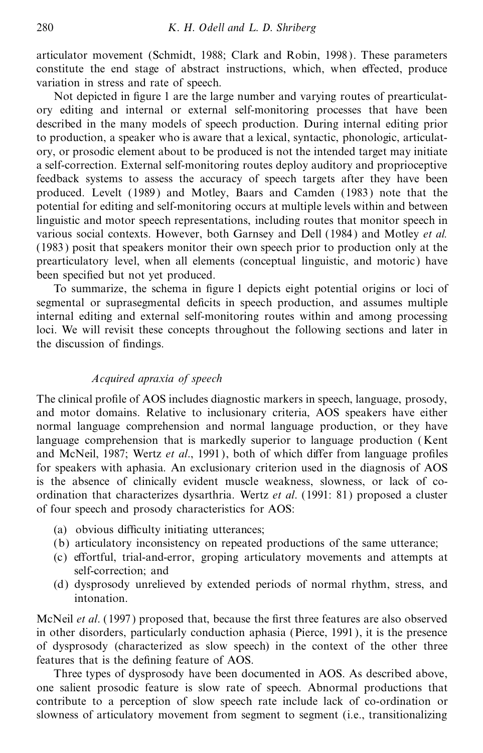articulator movement (Schmidt, 1988; Clark and Robin, 1998 ). These parameters constitute the end stage of abstract instructions, which, when effected, produce variation in stress and rate of speech.

Not depicted in figure 1 are the large number and varying routes of prearticulatory editing and internal or external self-monitoring processes that have been described in the many models of speech production. During internal editing prior to production, a speaker who is aware that a lexical, syntactic, phonologic, articulatory, or prosodic element about to be produced is not the intended target may initiate a self-correction. External self-monitoring routes deploy auditory and proprioceptive feedback systems to assess the accuracy of speech targets after they have been produced. Levelt (1989 ) and Motley, Baars and Camden (1983 ) note that the potential for editing and self-monitoring occurs at multiple levels within and between linguistic and motor speech representations, including routes that monitor speech in various social contexts. However, both Garnsey and Dell (1984) and Motley *et al.* (1983 ) posit that speakers monitor their own speech prior to production only at the prearticulatory level, when all elements (conceptual linguistic, and motoric ) have been specified but not yet produced.

To summarize, the schema in figure 1 depicts eight potential origins or loci of segmental or suprasegmental deficits in speech production, and assumes multiple internal editing and external self-monitoring routes within and among processing loci. We will revisit these concepts throughout the following sections and later in the discussion of findings.

#### *Acquired apraxia of speech*

The clinical profile of AOS includes diagnostic markers in speech, language, prosody, and motor domains. Relative to inclusionary criteria, AOS speakers have either normal language comprehension and normal language production, or they have language comprehension that is markedly superior to language production (Kent and McNeil, 1987; Wertz *et al.*, 1991), both of which differ from language profiles for speakers with aphasia. An exclusionary criterion used in the diagnosis of AOS is the absence of clinically evident muscle weakness, slowness, or lack of coordination that characterizes dysarthria. Wertz *et al*. (1991: 81) proposed a cluster of four speech and prosody characteristics for AOS:

- (a) obvious difficulty initiating utterances;
- (b) articulatory inconsistency on repeated productions of the same utterance;
- (c) effortful, trial-and-error, groping articulatory movements and attempts at self-correction; and
- (d) dysprosody unrelieved by extended periods of normal rhythm, stress, and intonation.

McNeil *et al.* (1997) proposed that, because the first three features are also observed in other disorders, particularly conduction aphasia (Pierce, 1991 ), it is the presence of dysprosody (characterized as slow speech) in the context of the other three features that is the defining feature of AOS.

Three types of dysprosody have been documented in AOS. As described above, one salient prosodic feature is slow rate of speech. Abnormal productions that contribute to a perception of slow speech rate include lack of co-ordination or slowness of articulatory movement from segment to segment (i.e., transitionalizing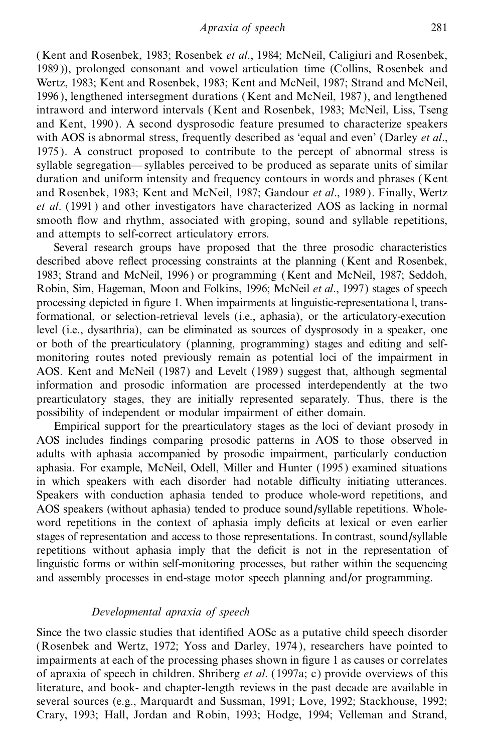( Kent and Rosenbek, 1983; Rosenbek *et al*., 1984; McNeil, Caligiuri and Rosenbek, 1989 )), prolonged consonant and vowel articulation time (Collins, Rosenbek and Wertz, 1983; Kent and Rosenbek, 1983; Kent and McNeil, 1987; Strand and McNeil, 1996), lengthened intersegment durations (Kent and McNeil, 1987), and lengthened intraword and interword intervals (Kent and Rosenbek, 1983; McNeil, Liss, Tseng and Kent, 1990 ). A second dysprosodic feature presumed to characterize speakers with AOS is abnormal stress, frequently described as `equal and even' (Darley *et al*., 1975 ).A construct proposed to contribute to the percept of abnormal stress is syllable segregation—syllables perceived to be produced as separate units of similar duration and uniform intensity and frequency contours in words and phrases (Kent and Rosenbek, 1983; Kent and McNeil, 1987; Gandour *et al*., 1989 ). Finally, Wertz *et al*. (1991 )and other investigators have characterized AOS as lacking in normal smooth flow and rhythm, associated with groping, sound and syllable repetitions, and attempts to self-correct articulatory errors.

Several research groups have proposed that the three prosodic characteristics described above reflect processing constraints at the planning (Kent and Rosenbek, 1983; Strand and McNeil, 1996 ) or programming (Kent and McNeil, 1987; Seddoh, Robin, Sim, Hageman, Moon and Folkins, 1996; McNeil *et al*., 1997) stages of speech processing depicted in figure 1. When impairments at linguistic-representationa l, transformational, or selection-retrieval levels (i.e., aphasia), or the articulatory-execution level (i.e., dysarthria), can be eliminated as sources of dysprosody in a speaker, one or both of the prearticulatory (planning, programming) stages and editing and selfmonitoring routes noted previously remain as potential loci of the impairment in AOS. Kent and McNeil (1987) and Levelt (1989 ) suggest that, although segmental information and prosodic information are processed interdependently at the two prearticulatory stages, they are initially represented separately. Thus, there is the possibility of independent or modular impairment of either domain.

Empirical support for the prearticulatory stages as the loci of deviant prosody in AOS includes findings comparing prosodic patterns in AOS to those observed in adults with aphasia accompanied by prosodic impairment, particularly conduction aphasia. For example, McNeil, Odell, Miller and Hunter (1995) examined situations in which speakers with each disorder had notable difficulty initiating utterances. Speakers with conduction aphasia tended to produce whole-word repetitions, and AOS speakers (without aphasia) tended to produce sound/syllable repetitions. Wholeword repetitions in the context of aphasia imply deficits at lexical or even earlier stages of representation and access to those representations. In contrast, sound/syllable repetitions without aphasia imply that the deficit is not in the representation of linguistic forms or within self-monitoring processes, but rather within the sequencing and assembly processes in end-stage motor speech planning and/or programming.

#### *Developmental apraxia of speech*

Since the two classic studies that identified AOSc as a putative child speech disorder (Rosenbek and Wertz, 1972; Yoss and Darley, 1974 ), researchers have pointed to impairments at each of the processing phases shown in figure 1 as causes or correlates of apraxia of speech in children. Shriberg *et al*. (1997a; c) provide overviews of this literature, and book- and chapter-length reviews in the past decade are available in several sources (e.g., Marquardt and Sussman, 1991; Love, 1992; Stackhouse, 1992; Crary, 1993; Hall, Jordan and Robin, 1993; Hodge, 1994; Velleman and Strand,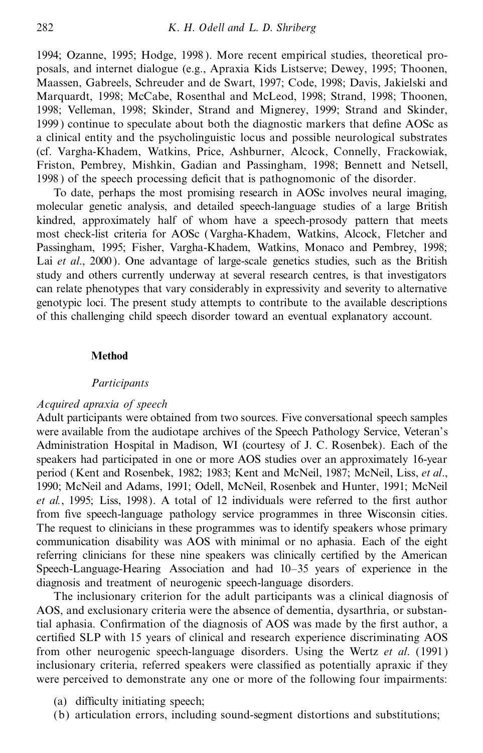1994; Ozanne, 1995; Hodge, 1998). More recent empirical studies, theoretical proposals, and internet dialogue (e.g., Apraxia Kids Listserve; Dewey, 1995; Thoonen, Maassen, Gabreels, Schreuder and de Swart, 1997; Code, 1998; Davis, Jakielski and Marquardt, 1998; McCabe, Rosenthal and McLeod, 1998; Strand, 1998; Thoonen, 1998; Velleman, 1998; Skinder, Strand and Mignerey, 1999; Strand and Skinder, 1999) continue to speculate about both the diagnostic markers that define AOSc as a clinical entity and the psycholinguistic locus and possible neurological substrates (cf. Vargha-Khadem, Watkins, Price, Ashburner, Alcock, Connelly, Frackowiak, Friston, Pembrey, Mishkin, Gadian and Passingham, 1998; Bennett and Netsell, 1998) of the speech processing deficit that is pathognomonic of the disorder.

To date, perhaps the most promising research in AOSc involves neural imaging, molecular genetic analysis, and detailed speech-language studies of a large British kindred, approximately half of whom have a speech-prosody pattern that meets most check-list criteria for AOSc (Vargha-Khadem, Watkins, Alcock, Fletcher and Passingham, 1995; Fisher, Vargha-Khadem, Watkins, Monaco and Pembrey, 1998; Lai et al., 2000). One advantage of large-scale genetics studies, such as the British study and others currently underway at several research centres, is that investigators can relate phenotypes that vary considerably in expressivity and severity to alternative genotypic loci. The present study attempts to contribute to the available descriptions of this challenging child speech disorder toward an eventual explanatory account.

#### **Method**

#### *Participants*

#### *Acquired apraxia of speech*

Adult participants were obtained from two sources. Five conversational speech samples were available from the audiotape archives of the Speech Pathology Service, Veteran's Administration Hospital in Madison, WI (courtesy of J. C. Rosenbek). Each of the speakers had participated in one or more AOS studies over an approximately 16-year period (Kent and Rosenbek, 1982; 1983; Kent and McNeil, 1987; McNeil, Liss, *et al*., 1990; McNeil and Adams, 1991; Odell, McNeil, Rosenbek and Hunter, 1991; McNeil *et al.*, 1995; Liss, 1998). A total of 12 individuals were referred to the first author from five speech-language pathology service programmes in three Wisconsin cities. The request to clinicians in these programmes was to identify speakers whose primary communication disability was AOS with minimal or no aphasia. Each of the eight referring clinicians for these nine speakers was clinically certified by the American Speech-Language-Hearing Association and had 10-35 years of experience in the diagnosis and treatment of neurogenic speech-language disorders.

The inclusionary criterion for the adult participants was a clinical diagnosis of AOS, and exclusionary criteria were the absence of dementia, dysarthria, or substantial aphasia. Confirmation of the diagnosis of AOS was made by the first author, a certified SLP with 15 years of clinical and research experience discriminating AOS from other neurogenic speech-language disorders. Using the Wertz *et al*. (1991 ) inclusionary criteria, referred speakers were classified as potentially apraxic if they were perceived to demonstrate any one or more of the following four impairments:

- (a) difficulty initiating speech;
- (b) articulation errors, including sound-segment distortions and substitutions;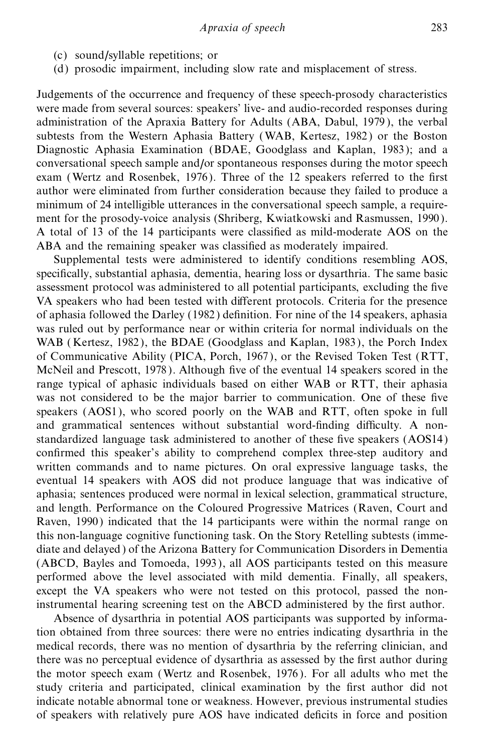- (c) sound/syllable repetitions; or
- (d) prosodic impairment, including slow rate and misplacement of stress.

Judgements of the occurrence and frequency of these speech-prosody characteristics were made from several sources: speakers' live- and audio-recorded responses during administration of the Apraxia Battery for Adults (ABA, Dabul, 1979), the verbal subtests from the Western Aphasia Battery (WAB, Kertesz, 1982) or the Boston Diagnostic Aphasia Examination (BDAE, Goodglass and Kaplan, 1983 ); and a conversational speech sample and/or spontaneous responses during the motor speech exam (Wertz and Rosenbek, 1976). Three of the 12 speakers referred to the first author were eliminated from further consideration because they failed to produce a minimum of 24 intelligible utterances in the conversational speech sample, a requirement for the prosody-voice analysis (Shriberg, Kwiatkowski and Rasmussen, 1990 ). A total of 13 of the 14 participants were classified as mild-moderate AOS on the ABA and the remaining speaker was classified as moderately impaired.

Supplemental tests were administered to identify conditions resembling AOS, specifically, substantial aphasia, dementia, hearing loss or dysarthria. The same basic assessment protocol was administered to all potential participants, excluding the five VA speakers who had been tested with different protocols. Criteria for the presence of aphasia followed the Darley (1982) definition. For nine of the 14 speakers, aphasia was ruled out by performance near or within criteria for normal individuals on the WAB ( Kertesz, 1982 ), the BDAE (Goodglass and Kaplan, 1983 ), the Porch Index of Communicative Ability (PICA, Porch, 1967 ), or the Revised Token Test (RTT, McNeil and Prescott, 1978). Although five of the eventual 14 speakers scored in the range typical of aphasic individuals based on either WAB or RTT, their aphasia was not considered to be the major barrier to communication. One of these five speakers (AOS1), who scored poorly on the WAB and RTT, often spoke in full and grammatical sentences without substantial word-finding difficulty. A nonstandardized language task administered to another of these five speakers (AOS14) confirmed this speaker's ability to comprehend complex three-step auditory and written commands and to name pictures. On oral expressive language tasks, the eventual 14 speakers with AOS did not produce language that was indicative of aphasia; sentences produced were normal in lexical selection, grammatical structure, and length. Performance on the Coloured Progressive Matrices (Raven, Court and Raven, 1990 ) indicated that the 14 participants were within the normal range on this non-language cognitive functioning task. On the Story Retelling subtests (immediate and delayed ) of the Arizona Battery for Communication Disorders in Dementia (ABCD, Bayles and Tomoeda, 1993 ), all AOS participants tested on this measure performed above the level associated with mild dementia. Finally, all speakers, except the VA speakers who were not tested on this protocol, passed the noninstrumental hearing screening test on the ABCD administered by the first author.

Absence of dysarthria in potential AOS participants was supported by information obtained from three sources: there were no entries indicating dysarthria in the medical records, there was no mention of dysarthria by the referring clinician, and there was no perceptual evidence of dysarthria as assessed by the first author during the motor speech exam (Wertz and Rosenbek, 1976 ). For all adults who met the study criteria and participated, clinical examination by the first author did not indicate notable abnormal tone or weakness. However, previous instrumental studies of speakers with relatively pure AOS have indicated deficits in force and position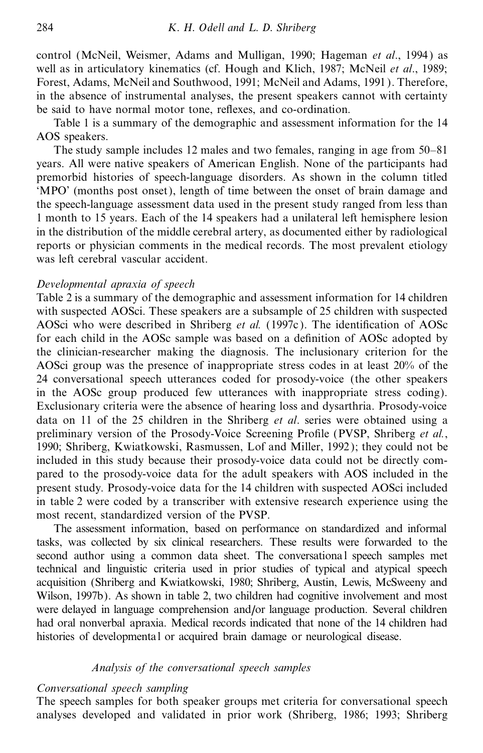control (McNeil, Weismer, Adams and Mulligan, 1990; Hageman *et al*., 1994 ) as well as in articulatory kinematics (cf. Hough and Klich, 1987; McNeil *et al*., 1989; Forest, Adams, McNeil and Southwood, 1991; McNeil and Adams, 1991 ). Therefore, in the absence of instrumental analyses, the present speakers cannot with certainty be said to have normal motor tone, reflexes, and co-ordination.

Table 1 is a summary of the demographic and assessment information for the 14 AOS speakers.

The study sample includes 12 males and two females, ranging in age from 50–81 years. All were native speakers of American English. None of the participants had premorbid histories of speech-language disorders. As shown in the column titled `MPO' (months post onset), length of time between the onset of brain damage and the speech-language assessment data used in the present study ranged from less than 1 month to 15 years. Each of the 14 speakers had a unilateral left hemisphere lesion in the distribution of the middle cerebral artery, as documented either by radiological reports or physician comments in the medical records. The most prevalent etiology was left cerebral vascular accident.

## *Developmental apraxia of speech*

Table 2 is a summary of the demographic and assessment information for 14 children with suspected AOSci. These speakers are a subsample of 25 children with suspected AOSci who were described in Shriberg *et al.* (1997c). The identification of AOSc for each child in the AOSc sample was based on a definition of AOSc adopted by the clinician-researcher making the diagnosis. The inclusionary criterion for the AOSci group was the presence of inappropriate stress codes in at least 20% of the 24 conversational speech utterances coded for prosody-voice (the other speakers in the AOSc group produced few utterances with inappropriate stress coding). Exclusionary criteria were the absence of hearing loss and dysarthria. Prosody-voice data on 11 of the 25 children in the Shriberg *et al*. series were obtained using a preliminary version of the Prosody-Voice Screening Profile (PVSP, Shriberg *et al.*, 1990; Shriberg, Kwiatkowski, Rasmussen, Lof and Miller, 1992); they could not be included in this study because their prosody-voice data could not be directly compared to the prosody-voice data for the adult speakers with AOS included in the present study. Prosody-voice data for the 14 children with suspected AOSci included in table 2 were coded by a transcriber with extensive research experience using the most recent, standardized version of the PVSP.

The assessment information, based on performance on standardized and informal tasks, was collected by six clinical researchers. These results were forwarded to the second author using a common data sheet. The conversationa l speech samples met technical and linguistic criteria used in prior studies of typical and atypical speech acquisition (Shriberg and Kwiatkowski, 1980; Shriberg, Austin, Lewis, McSweeny and Wilson, 1997b). As shown in table 2, two children had cognitive involvement and most were delayed in language comprehension and/or language production. Several children had oral nonverbal apraxia. Medical records indicated that none of the 14 children had histories of developmental or acquired brain damage or neurological disease.

#### *Analysis of the conversational speech samples*

## *Conversational speech sampling*

The speech samples for both speaker groups met criteria for conversational speech analyses developed and validated in prior work (Shriberg, 1986; 1993; Shriberg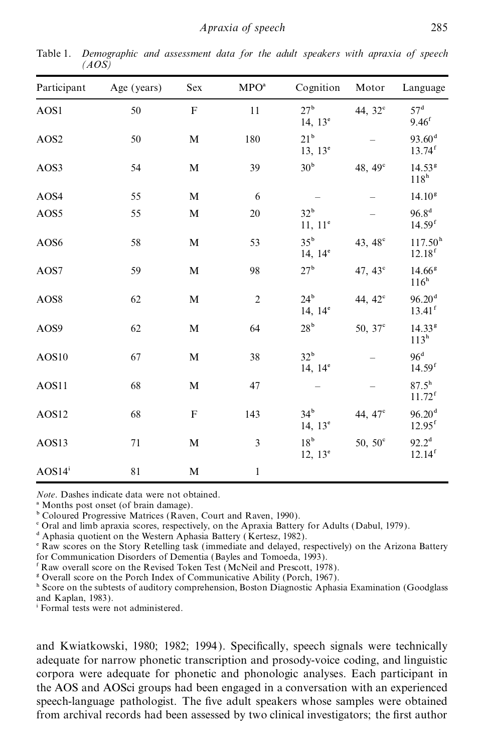| Participant          | Age (years) | Sex         | $\text{MPO}^{\text{a}}$ | Cognition                              | Motor               | Language                                   |
|----------------------|-------------|-------------|-------------------------|----------------------------------------|---------------------|--------------------------------------------|
| AOS1                 | 50          | ${\bf F}$   | 11                      | 27 <sup>b</sup><br>14, $13^e$          | 44, 32 <sup>c</sup> | 57 <sup>d</sup><br>9.46 <sup>f</sup>       |
| AOS <sub>2</sub>     | 50          | $\mathbf M$ | 180                     | 21 <sup>b</sup><br>$13, 13^e$          |                     | 93.60 <sup>d</sup><br>$13.74$ <sup>f</sup> |
| AOS3                 | 54          | $\mathbf M$ | 39                      | 30 <sup>b</sup>                        | 48, $49^{\circ}$    | 14.53 <sup>g</sup><br>118 <sup>h</sup>     |
| AOS4                 | 55          | $\mathbf M$ | 6                       |                                        |                     | 14.10 <sup>g</sup>                         |
| AOS5                 | 55          | $\mathbf M$ | 20                      | 32 <sup>b</sup><br>$11, 11^{\circ}$    |                     | $96.8^{d}$<br>$14.59$ <sup>f</sup>         |
| AOS6                 | 58          | $\mathbf M$ | 53                      | $35^{\rm b}$<br>14, $14^{\circ}$       | 43, 48 <sup>c</sup> | 117.50 <sup>h</sup><br>12.18 <sup>f</sup>  |
| AOS7                 | 59          | $\mathbf M$ | 98                      | 27 <sup>b</sup>                        | 47, $43^{\circ}$    | 14.66 <sup>g</sup><br>$116^h$              |
| AOS8                 | 62          | $\mathbf M$ | $\overline{c}$          | 24 <sup>b</sup><br>14, $14^e$          | 44, $42^{\circ}$    | 96.20 <sup>d</sup><br>$13.41$ <sup>f</sup> |
| AOS9                 | 62          | $\mathbf M$ | 64                      | $28^{\rm b}$                           | 50, $37^{\circ}$    | 14.33 <sup>g</sup><br>$113^h$              |
| AOS10                | 67          | $\mathbf M$ | 38                      | 32 <sup>b</sup><br>14, 14 <sup>e</sup> |                     | 96 <sup>d</sup><br>$14.59$ <sup>f</sup>    |
| AOS11                | 68          | $\mathbf M$ | 47                      |                                        |                     | $87.5^{\rm h}$<br>$11.72$ <sup>f</sup>     |
| AOS12                | 68          | $\mathbf F$ | 143                     | 34 <sup>b</sup><br>14, $13^{\circ}$    | 44, 47 <sup>c</sup> | 96.20 <sup>d</sup><br>$12.95$ <sup>f</sup> |
| AOS13                | 71          | $\mathbf M$ | $\overline{3}$          | 18 <sup>b</sup><br>$12, 13^e$          | $50, 50^{\circ}$    | $92.2^{\rm d}$<br>$12.14$ <sup>f</sup>     |
| $AOS14$ <sup>i</sup> | $8\sqrt{1}$ | M           | $\mathbf{1}$            |                                        |                     |                                            |

Table 1. *Demographic and assessment data for the adult speakers with apraxia of speech (AOS)*

*Note*. Dashes indicate data were not obtained.

<sup>a</sup> Months post onset (of brain damage).

<sup>b</sup> Coloured Progressive Matrices (Raven, Court and Raven, 1990).

c Oral and limb apraxia scores, respectively, on the Apraxia Battery for Adults (Dabul, 1979).

<sup>d</sup> Aphasia quotient on the Western Aphasia Battery (Kertesz, 1982).

e Raw scores on the Story Retelling task (immediate and delayed, respectively) on the Arizona Battery for Communication Disorders of Dementia (Bayles and Tomoeda, 1993).

f Raw overall score on the Revised Token Test (McNeil and Prescott, 1978).

<sup>g</sup> Overall score on the Porch Index of Communicative Ability (Porch, 1967).

h Score on the subtests of auditory comprehension, Boston Diagnostic Aphasia Examination (Goodglass and Kaplan, 1983).

i Formal tests were not administered.

and Kwiatkowski, 1980; 1982; 1994). Specifically, speech signals were technically adequate for narrow phonetic transcription and prosody-voice coding, and linguistic corpora were adequate for phonetic and phonologic analyses. Each participant in the AOS and AOSci groups had been engaged in a conversation with an experienced speech-language pathologist. The five adult speakers whose samples were obtained from archival records had been assessed by two clinical investigators; the first author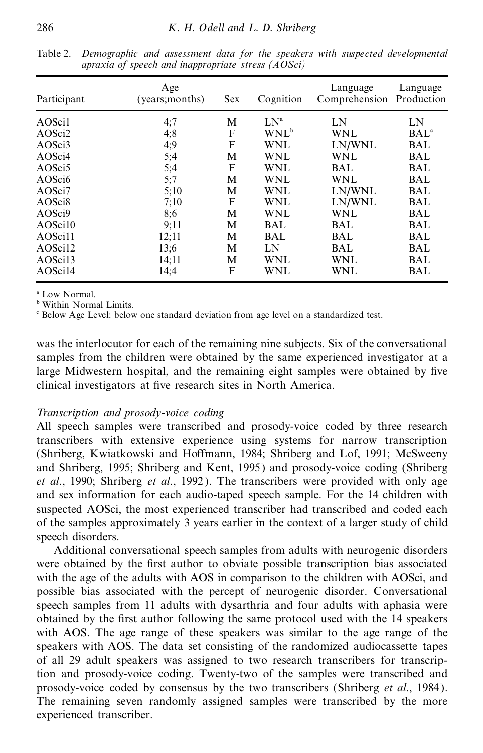| Participant        | Age<br>(years:months) | <b>Sex</b> | Cognition        | Language<br>Comprehension | Language<br>Production |
|--------------------|-----------------------|------------|------------------|---------------------------|------------------------|
| AOSci1             | 4:7                   | М          | LN <sup>a</sup>  | LN                        | LN                     |
| AOSci <sub>2</sub> | 4;8                   | F          | WNL <sup>b</sup> | <b>WNL</b>                | BAL <sup>c</sup>       |
| AOSci3             | 4;9                   | F          | <b>WNL</b>       | LN/WNL                    | <b>BAL</b>             |
| AOSci4             | 5;4                   | М          | <b>WNL</b>       | <b>WNL</b>                | <b>BAL</b>             |
| AOSci <sub>5</sub> | 5;4                   | F          | <b>WNL</b>       | <b>BAL</b>                | <b>BAL</b>             |
| AOSci6             | 5:7                   | М          | <b>WNL</b>       | <b>WNL</b>                | <b>BAL</b>             |
| AOSci7             | 5:10                  | М          | <b>WNL</b>       | LN/WNL                    | <b>BAL</b>             |
| AOSci <sub>8</sub> | 7:10                  | F          | <b>WNL</b>       | LN/WNL                    | <b>BAL</b>             |
| AOSci9             | 8:6                   | М          | <b>WNL</b>       | <b>WNL</b>                | <b>BAL</b>             |
| AOSci10            | 9:11                  | М          | <b>BAL</b>       | <b>BAL</b>                | <b>BAL</b>             |
| AOSci11            | 12:11                 | М          | <b>BAL</b>       | <b>BAL</b>                | <b>BAL</b>             |
| AOSci12            | 13:6                  | М          | LN               | <b>BAL</b>                | <b>BAL</b>             |
| AOSci13            | 14:11                 | М          | WNL              | <b>WNL</b>                | <b>BAL</b>             |
| AOSci14            | 14:4                  | F          | WNL              | WNL                       | BAL                    |

Table 2. *Demographic and assessment data for the speakers with suspected developmental apraxia of speech and inappropriate stress (AOSci)*

a Low Normal.

**b** Within Normal Limits.

c Below Age Level: below one standard deviation from age level on a standardized test.

was the interlocutor for each of the remaining nine subjects. Six of the conversational samples from the children were obtained by the same experienced investigator at a large Midwestern hospital, and the remaining eight samples were obtained by five clinical investigators at five research sites in North America.

## *Transcription and prosody-voice coding*

All speech samples were transcribed and prosody-voice coded by three research transcribers with extensive experience using systems for narrow transcription (Shriberg, Kwiatkowski and Hoffmann, 1984; Shriberg and Lof, 1991; McSweeny and Shriberg, 1995; Shriberg and Kent, 1995 ) and prosody-voice coding (Shriberg *et al*., 1990; Shriberg *et al*., 1992 ). The transcribers were provided with only age and sex information for each audio-taped speech sample. For the 14 children with suspected AOSci, the most experienced transcriber had transcribed and coded each of the samples approximately 3 years earlier in the context of a larger study of child speech disorders.

Additional conversational speech samples from adults with neurogenic disorders were obtained by the first author to obviate possible transcription bias associated with the age of the adults with AOS in comparison to the children with AOSci, and possible bias associated with the percept of neurogenic disorder. Conversational speech samples from 11 adults with dysarthria and four adults with aphasia were obtained by the first author following the same protocol used with the 14 speakers with AOS. The age range of these speakers was similar to the age range of the speakers with AOS. The data set consisting of the randomized audiocassette tapes of all 29 adult speakers was assigned to two research transcribers for transcription and prosody-voice coding. Twenty-two of the samples were transcribed and prosody-voice coded by consensus by the two transcribers (Shriberg *et al*., 1984 ). The remaining seven randomly assigned samples were transcribed by the more experienced transcriber.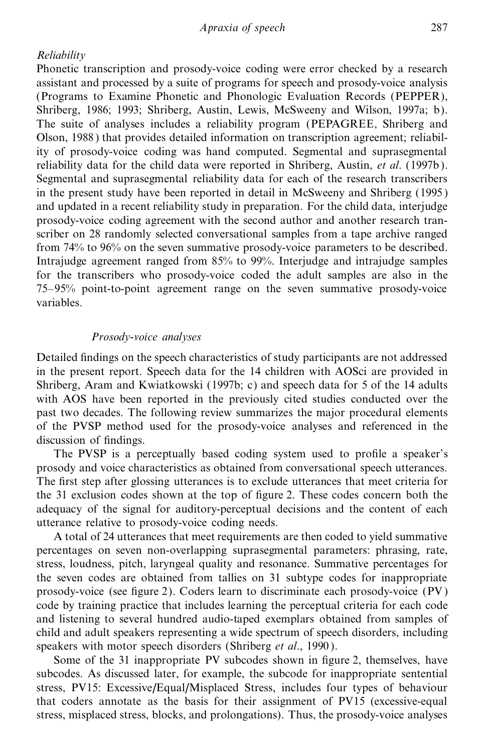# *Reliability*

Phonetic transcription and prosody-voice coding were error checked by a research assistant and processed by a suite of programs for speech and prosody-voice analysis (Programs to Examine Phonetic and Phonologic Evaluation Records (PEPPER), Shriberg, 1986; 1993; Shriberg, Austin, Lewis, McSweeny and Wilson, 1997a; b). The suite of analyses includes a reliability program (PEPAGREE, Shriberg and Olson, 1988) that provides detailed information on transcription agreement; reliability of prosody-voice coding was hand computed. Segmental and suprasegmental reliability data for the child data were reported in Shriberg, Austin, *et al*. (1997b). Segmental and suprasegmental reliability data for each of the research transcribers in the present study have been reported in detail in McSweeny and Shriberg (1995 ) and updated in a recent reliability study in preparation. For the child data, interjudge prosody-voice coding agreement with the second author and another research transcriber on 28 randomly selected conversational samples from a tape archive ranged from 74% to 96% on the seven summative prosody-voice parameters to be described. Intrajudge agreement ranged from 85% to 99%. Interjudge and intrajudge samples for the transcribers who prosody-voice coded the adult samples are also in the 75-95% point-to-point agreement range on the seven summative prosody-voice variables.

#### *Prosody-voice analyses*

Detailed findings on the speech characteristics of study participants are not addressed in the present report. Speech data for the 14 children with AOSci are provided in Shriberg, Aram and Kwiatkowski (1997b; c) and speech data for 5 of the 14 adults with AOS have been reported in the previously cited studies conducted over the past two decades. The following review summarizes the major procedural elements of the PVSP method used for the prosody-voice analyses and referenced in the discussion of findings.

The PVSP is a perceptually based coding system used to profile a speaker's prosody and voice characteristics as obtained from conversational speech utterances. The first step after glossing utterances is to exclude utterances that meet criteria for the 31 exclusion codes shown at the top of figure 2. These codes concern both the adequacy of the signal for auditory-perceptual decisions and the content of each utterance relative to prosody-voice coding needs.

A total of 24 utterances that meet requirements are then coded to yield summative percentages on seven non-overlapping suprasegmental parameters: phrasing, rate, stress, loudness, pitch, laryngeal quality and resonance. Summative percentages for the seven codes are obtained from tallies on 31 subtype codes for inappropriate prosody-voice (see figure 2). Coders learn to discriminate each prosody-voice  $(PV)$ code by training practice that includes learning the perceptual criteria for each code and listening to several hundred audio-taped exemplars obtained from samples of child and adult speakers representing a wide spectrum of speech disorders, including speakers with motor speech disorders (Shriberg *et al*., 1990 ).

Some of the 31 inappropriate PV subcodes shown in figure 2, themselves, have subcodes. As discussed later, for example, the subcode for inappropriate sentential stress, PV15: Excessive/Equal/Misplaced Stress, includes four types of behaviour that coders annotate as the basis for their assignment of PV15 (excessive-equal stress, misplaced stress, blocks, and prolongations). Thus, the prosody-voice analyses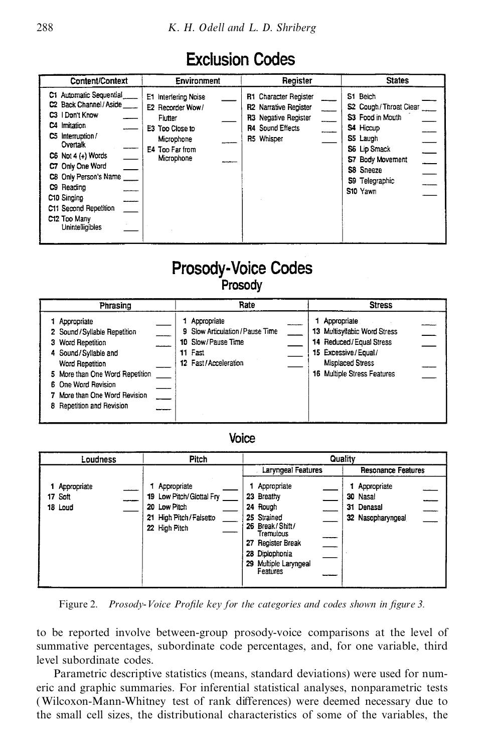# **Exclusion Codes**

| Content/Context                                                                                                                                                                                                                                                                   | Environment                                                                                                           | Register                                                                                                 | <b>States</b>                                                                                                                                                 |  |
|-----------------------------------------------------------------------------------------------------------------------------------------------------------------------------------------------------------------------------------------------------------------------------------|-----------------------------------------------------------------------------------------------------------------------|----------------------------------------------------------------------------------------------------------|---------------------------------------------------------------------------------------------------------------------------------------------------------------|--|
| C1 Automatic Sequential<br>C2 Back Channel / Aside<br>C3 I Don't Know<br>C4 Imitation<br>C5 Interruption/<br>Overtalk<br>C6 Not 4 (+) Words<br>C7 Only One Word<br>C8 Only Person's Name<br>C9 Reading<br>C10 Singing<br>C11 Second Repetition<br>C12 Too Many<br>Unintelligibles | E1 Interfering Noise<br>E2 Recorder Wow/<br>Flutter<br>E3 Too Close to<br>Microphone<br>E4 Too Far from<br>Microphone | R1 Character Register<br>R2 Narrative Register<br>R3 Negative Register<br>R4 Sound Effects<br>R5 Whisper | S1 Beich<br>S2 Cough/Throat Clear<br>S3 Food in Mouth<br>S4 Hiccup<br>S5 Laugh<br>S6 Lip Smack<br>S7 Body Movement<br>S8 Sneeze<br>S9 Telegraphic<br>S10 Yawn |  |

# **Prosody-Voice Codes** Prosody

| Phrasing                                                                                                                                                                                                                         | Rate                                                                                                     | <b>Stress</b>                                                                                                                                    |
|----------------------------------------------------------------------------------------------------------------------------------------------------------------------------------------------------------------------------------|----------------------------------------------------------------------------------------------------------|--------------------------------------------------------------------------------------------------------------------------------------------------|
| Appropriate<br>2 Sound / Syllable Repetition<br>3 Word Repetition<br>4 Sound/Syllable and<br>Word Repetition<br>5 More than One Word Repetition<br>6 One Word Revision<br>More than One Word Revision<br>Repetition and Revision | Appropriate<br>9 Slow Articulation / Pause Time<br>10 Slow/Pause Time<br>11 Fast<br>12 Fast/Acceleration | Appropriate<br>13 Multisyllabic Word Stress<br>14 Reduced/Equal Stress<br>15 Excessive/Equal/<br>Misplaced Stress<br>16 Multiple Stress Features |

# Voice

| Loudness                            | Pitch                                                                                                 | Quality                                                                                                                                                                                                     |  |  |
|-------------------------------------|-------------------------------------------------------------------------------------------------------|-------------------------------------------------------------------------------------------------------------------------------------------------------------------------------------------------------------|--|--|
| 1 Appropriate<br>17 Soft<br>18 Loud | Appropriate<br>19 Low Pitch/ Glottal Fry<br>20 Low Pitch<br>21 High Pitch / Falsetto<br>22 High Pitch | Laryngeal Features<br><b>Resonance Features</b><br>Appropriate<br>Appropriate<br>23 Breathy<br>30 Nasal<br>24 Rough<br>Denasal<br>31<br>25 Strained<br>32<br>Nasopharyngeal<br>26 Break/Shift/<br>Tremulous |  |  |
|                                     |                                                                                                       | Register Break<br>27<br>28 Diplophonia<br>29 Multiple Laryngeal<br>Features                                                                                                                                 |  |  |

*Figure 2. Prosody-Voice Profile key for the categories and codes shown in figure 3.* 

to be reported involve between-group prosody-voice comparisons at the level of summative percentages, subordinate code percentages, and, for one variable, third level subordinate codes.

Parametric descriptive statistics (means, standard deviations) were used for numeric and graphic summaries. For inferential statistical analyses, nonparametric tests (Wilcoxon-Mann-Whitney test of rank differences) were deemed necessary due to the small cell sizes, the distributional characteristics of some of the variables, the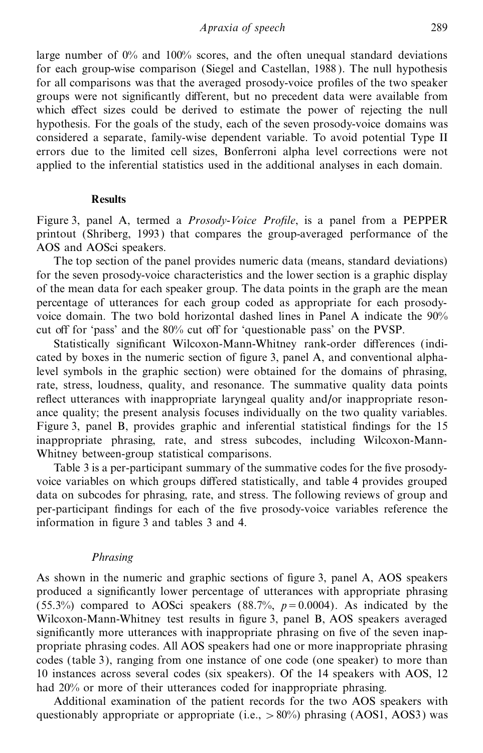large number of  $0\%$  and  $100\%$  scores, and the often unequal standard deviations for each group-wise comparison (Siegel and Castellan, 1988 ). The null hypothesis for all comparisons was that the averaged prosody-voice profiles of the two speaker groups were not significantly different, but no precedent data were available from which effect sizes could be derived to estimate the power of rejecting the null hypothesis. For the goals of the study, each of the seven prosody-voice domains was considered a separate, family-wise dependent variable. To avoid potential Type II errors due to the limited cell sizes, Bonferroni alpha level corrections were not applied to the inferential statistics used in the additional analyses in each domain.

#### **Results**

Figure 3, panel A, termed a *Prosody-Voice Profile*, is a panel from a PEPPER printout (Shriberg, 1993) that compares the group-averaged performance of the AOS and AOSci speakers.

The top section of the panel provides numeric data (means, standard deviations) for the seven prosody-voice characteristics and the lower section is a graphic display of the mean data for each speaker group. The data points in the graph are the mean percentage of utterances for each group coded as appropriate for each prosodyvoice domain. The two bold horizontal dashed lines in Panel A indicate the 90% cut off for 'pass' and the 80% cut off for 'questionable pass' on the PVSP.

Statistically significant Wilcoxon-Mann-Whitney rank-order differences (indicated by boxes in the numeric section of figure 3, panel  $A$ , and conventional alphalevel symbols in the graphic section) were obtained for the domains of phrasing, rate, stress, loudness, quality, and resonance. The summative quality data points reflect utterances with inappropriate laryngeal quality and/or inappropriate resonance quality; the present analysis focuses individually on the two quality variables. Figure 3, panel B, provides graphic and inferential statistical findings for the 15 inappropriate phrasing, rate, and stress subcodes, including Wilcoxon-Mann-Whitney between-group statistical comparisons.

Table 3 is a per-participant summary of the summative codes for the five prosodyvoice variables on which groups differed statistically, and table 4 provides grouped data on subcodes for phrasing, rate, and stress. The following reviews of group and per-participant findings for each of the five prosody-voice variables reference the information in figure 3 and tables 3 and 4.

#### *Phrasing*

As shown in the numeric and graphic sections of figure 3, panel A, AOS speakers produced a significantly lower percentage of utterances with appropriate phrasing (55.3%) compared to AOSci speakers (88.7%,  $p=0.0004$ ). As indicated by the Wilcoxon-Mann-Whitney test results in figure 3, panel B, AOS speakers averaged significantly more utterances with inappropriate phrasing on five of the seven inappropriate phrasing codes. All AOS speakers had one or more inappropriate phrasing codes (table 3), ranging from one instance of one code (one speaker) to more than 10 instances across several codes (six speakers). Of the 14 speakers with AOS, 12 had 20% or more of their utterances coded for inappropriate phrasing.

Additional examination of the patient records for the two AOS speakers with questionably appropriate or appropriate (i.e.,  $> 80\%$ ) phrasing (AOS1, AOS3) was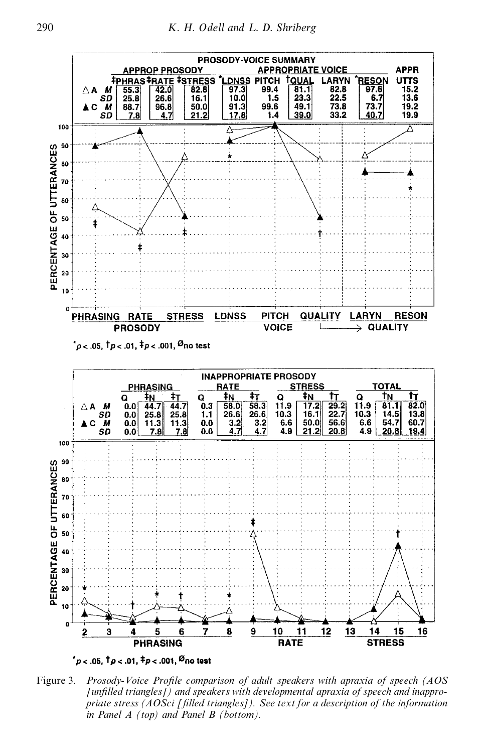

Figure 3. *Prosody-Voice ProWle comparison of adult speakers with apraxia of speech (AOS [unWlled triangles]) and speakers with developmental apraxia of speech and inappropriate stress (AOSci [Wlled triangles]). See text for a description of the information in Panel A (top) and Panel B (bottom).*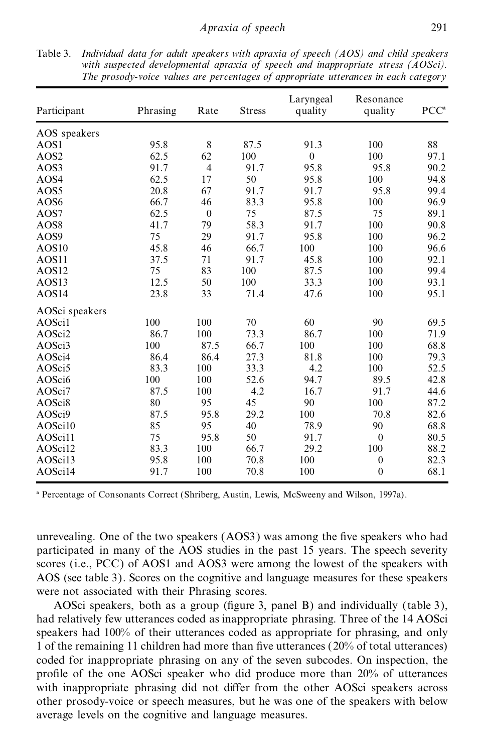| Participant       | Phrasing | Rate           | <b>Stress</b> | Laryngeal<br>quality | Resonance<br>quality | PCC <sup>a</sup> |
|-------------------|----------|----------------|---------------|----------------------|----------------------|------------------|
| AOS speakers      |          |                |               |                      |                      |                  |
| AOS1              | 95.8     | 8              | 87.5          | 91.3                 | 100                  | 88               |
| AOS <sub>2</sub>  | 62.5     | 62             | 100           | $\theta$             | 100                  | 97.1             |
| AOS3              | 91.7     | $\overline{4}$ | 91.7          | 95.8                 | 95.8                 | 90.2             |
| AOS4              | 62.5     | 17             | 50            | 95.8                 | 100                  | 94.8             |
| AOS5              | 20.8     | 67             | 91.7          | 91.7                 | 95.8                 | 99.4             |
| AOS6              | 66.7     | 46             | 83.3          | 95.8                 | 100                  | 96.9             |
| AOS7              | 62.5     | $\theta$       | 75            | 87.5                 | 75                   | 89.1             |
| AOS8              | 41.7     | 79             | 58.3          | 91.7                 | 100                  | 90.8             |
| AOS9              | 75       | 29             | 91.7          | 95.8                 | 100                  | 96.2             |
| AOS <sub>10</sub> | 45.8     | 46             | 66.7          | 100                  | 100                  | 96.6             |
| AOS11             | 37.5     | 71             | 91.7          | 45.8                 | 100                  | 92.1             |
| AOS <sub>12</sub> | 75       | 83             | 100           | 87.5                 | 100                  | 99.4             |
| AOS13             | 12.5     | 50             | 100           | 33.3                 | 100                  | 93.1             |
| AOS14             | 23.8     | 33             | 71.4          | 47.6                 | 100                  | 95.1             |
| AOSci speakers    |          |                |               |                      |                      |                  |
| AOSci1            | 100      | 100            | 70            | 60                   | 90                   | 69.5             |
| AOSci2            | 86.7     | 100            | 73.3          | 86.7                 | 100                  | 71.9             |
| AOSci3            | 100      | 87.5           | 66.7          | 100                  | 100                  | 68.8             |
| AOSci4            | 86.4     | 86.4           | 27.3          | 81.8                 | 100                  | 79.3             |
| AOSci5            | 83.3     | 100            | 33.3          | 4.2                  | 100                  | 52.5             |
| AOSci6            | 100      | 100            | 52.6          | 94.7                 | 89.5                 | 42.8             |
| AOSci7            | 87.5     | 100            | 4.2           | 16.7                 | 91.7                 | 44.6             |
| AOSci8            | 80       | 95             | 45            | 90                   | 100                  | 87.2             |
| AOSci9            | 87.5     | 95.8           | 29.2          | 100                  | 70.8                 | 82.6             |
| AOSci10           | 85       | 95             | 40            | 78.9                 | 90                   | 68.8             |
| AOSci11           | 75       | 95.8           | 50            | 91.7                 | $\theta$             | 80.5             |
| AOSci12           | 83.3     | 100            | 66.7          | 29.2                 | 100                  | 88.2             |
| AOSci13           | 95.8     | 100            | 70.8          | 100                  | $\overline{0}$       | 82.3             |
| AOSci14           | 91.7     | 100            | 70.8          | 100                  | $\overline{0}$       | 68.1             |

Table 3. *Individual data for adult speakers with apraxia of speech (AOS) and child speakers with suspected developmental apraxia of speech and inappropriate stress (AOSci). The prosody-voice values are percentages of appropriate utterances in each category*

a Percentage of Consonants Correct (Shriberg, Austin, Lewis, McSweeny and Wilson, 1997a).

unrevealing. One of the two speakers (AOS3) was among the five speakers who had participated in many of the AOS studies in the past 15 years. The speech severity scores (i.e., PCC) of AOS1 and AOS3 were among the lowest of the speakers with AOS (see table 3). Scores on the cognitive and language measures for these speakers were not associated with their Phrasing scores.

AOSci speakers, both as a group (figure 3, panel B) and individually (table 3), had relatively few utterances coded as inappropriate phrasing. Three of the 14 AOSci speakers had 100% of their utterances coded as appropriate for phrasing, and only 1 of the remaining 11 children had more than five utterances ( $20\%$  of total utterances) coded for inappropriate phrasing on any of the seven subcodes. On inspection, the pro®le of the one AOSci speaker who did produce more than 20% of utterances with inappropriate phrasing did not differ from the other AOSci speakers across other prosody-voice or speech measures, but he was one of the speakers with below average levels on the cognitive and language measures.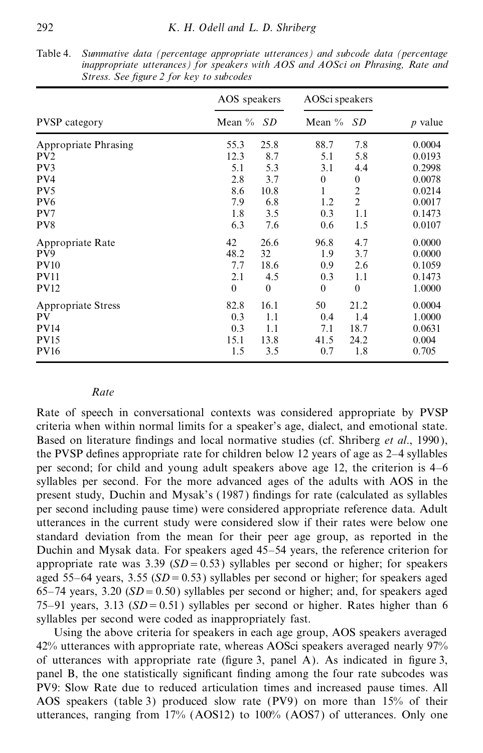|                      | AOS speakers | AOSci speakers |           |                |           |
|----------------------|--------------|----------------|-----------|----------------|-----------|
| <b>PVSP</b> category | Mean $\%$    | <b>SD</b>      | Mean $\%$ | <b>SD</b>      | $p$ value |
| Appropriate Phrasing | 55.3         | 25.8           | 88.7      | 7.8            | 0.0004    |
| PV <sub>2</sub>      | 12.3         | 8.7            | 5.1       | 5.8            | 0.0193    |
| PV3                  | 5.1          | 5.3            | 3.1       | 4.4            | 0.2998    |
| PV4                  | 2.8          | 3.7            | $\theta$  | $\theta$       | 0.0078    |
| PV <sub>5</sub>      | 8.6          | 10.8           | 1         | $\overline{c}$ | 0.0214    |
| PV <sub>6</sub>      | 7.9          | 6.8            | 1.2       | $\overline{2}$ | 0.0017    |
| PV7                  | 1.8          | 3.5            | 0.3       | 1.1            | 0.1473    |
| PV8                  | 6.3          | 7.6            | 0.6       | 1.5            | 0.0107    |
| Appropriate Rate     | 42           | 26.6           | 96.8      | 4.7            | 0.0000    |
| PV9                  | 48.2         | 32             | 1.9       | 3.7            | 0.0000    |
| <b>PV10</b>          | 7.7          | 18.6           | 0.9       | 2.6            | 0.1059    |
| <b>PV11</b>          | 2.1          | 4.5            | 0.3       | 1.1            | 0.1473    |
| <b>PV12</b>          | $\theta$     | $\theta$       | $\theta$  | $\theta$       | 1.0000    |
| Appropriate Stress   | 82.8         | 16.1           | 50        | 21.2           | 0.0004    |
| PV                   | 0.3          | 1.1            | 0.4       | 1.4            | 1.0000    |
| <b>PV14</b>          | 0.3          | 1.1            | 7.1       | 18.7           | 0.0631    |
| <b>PV15</b>          | 15.1         | 13.8           | 41.5      | 24.2           | 0.004     |
| <b>PV16</b>          | 1.5          | 3.5            | 0.7       | 1.8            | 0.705     |

Table 4. *Summative data (percentage appropriate utterances) and subcode data (percentage inappropriate utterances) for speakers with AOS and AOSci on Phrasing, Rate and Stress. See figure* 2 *for key to subcodes* 

#### *Rate*

Rate of speech in conversational contexts was considered appropriate by PVSP criteria when within normal limits for a speaker's age, dialect, and emotional state. Based on literature findings and local normative studies (cf. Shriberg *et al.*, 1990), the PVSP defines appropriate rate for children below 12 years of age as  $2-4$  syllables per second; for child and young adult speakers above age 12, the criterion is  $4-6$ syllables per second. For the more advanced ages of the adults with AOS in the present study, Duchin and Mysak's (1987) findings for rate (calculated as syllables per second including pause time) were considered appropriate reference data. Adult utterances in the current study were considered slow if their rates were below one standard deviation from the mean for their peer age group, as reported in the Duchin and Mysak data. For speakers aged 45–54 years, the reference criterion for appropriate rate was 3.39 ( $SD = 0.53$ ) syllables per second or higher; for speakers aged 55 $-64$  years, 3.55 ( $SD = 0.53$ ) syllables per second or higher; for speakers aged 65–74 years, 3.20 ( $SD = 0.50$ ) syllables per second or higher; and, for speakers aged 75 $-91$  years, 3.13 ( $SD = 0.51$ ) syllables per second or higher. Rates higher than 6 syllables per second were coded as inappropriately fast.

Using the above criteria for speakers in each age group, AOS speakers averaged 42% utterances with appropriate rate, whereas AOSci speakers averaged nearly 97% of utterances with appropriate rate (figure 3, panel  $\overline{A}$ ). As indicated in figure 3, panel B, the one statistically significant finding among the four rate subcodes was PV9: Slow Rate due to reduced articulation times and increased pause times. All AOS speakers (table 3) produced slow rate (PV9) on more than 15% of their utterances, ranging from 17% (AOS12) to 100% (AOS7) of utterances. Only one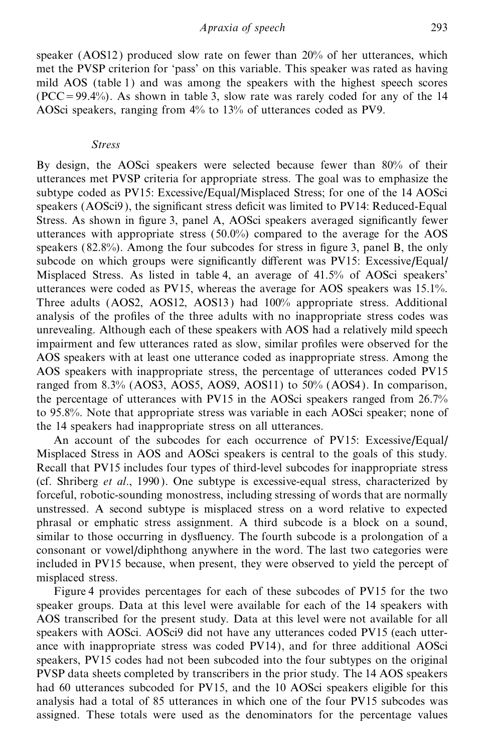speaker (AOS12 ) produced slow rate on fewer than 20% of her utterances, which met the PVSP criterion for 'pass' on this variable. This speaker was rated as having mild AOS (table 1) and was among the speakers with the highest speech scores  $(PCC = 99.4\%)$ . As shown in table 3, slow rate was rarely coded for any of the 14 AOSci speakers, ranging from 4% to 13% of utterances coded as PV9.

#### *Stress*

By design, the AOSci speakers were selected because fewer than 80% of their utterances met PVSP criteria for appropriate stress. The goal was to emphasize the subtype coded as PV15: Excessive/Equal/Misplaced Stress; for one of the 14 AOSci speakers ( $AOSc<sub>i</sub>9$ ), the significant stress deficit was limited to PV14: Reduced-Equal Stress. As shown in figure 3, panel A, AOSci speakers averaged significantly fewer utterances with appropriate stress (50.0%) compared to the average for the AOS speakers  $(82.8\%)$ . Among the four subcodes for stress in figure 3, panel B, the only subcode on which groups were significantly different was PV15: Excessive/Equal/ Misplaced Stress. As listed in table 4, an average of 41.5% of AOSci speakers' utterances were coded as PV15, whereas the average for AOS speakers was 15.1%. Three adults (AOS2, AOS12, AOS13 ) had 100% appropriate stress. Additional analysis of the profiles of the three adults with no inappropriate stress codes was unrevealing. Although each of these speakers with AOS had a relatively mild speech impairment and few utterances rated as slow, similar profiles were observed for the AOS speakers with at least one utterance coded as inappropriate stress. Among the AOS speakers with inappropriate stress, the percentage of utterances coded PV15 ranged from 8.3% (AOS3, AOS5, AOS9, AOS11) to 50% (AOS4). In comparison, the percentage of utterances with PV15 in the AOSci speakers ranged from 26.7% to 95.8%. Note that appropriate stress was variable in each AOSci speaker; none of the 14 speakers had inappropriate stress on all utterances.

An account of the subcodes for each occurrence of PV15: Excessive/Equal/ Misplaced Stress in AOS and AOSci speakers is central to the goals of this study. Recall that PV15 includes four types of third-level subcodes for inappropriate stress (cf. Shriberg *et al*., 1990 ). One subtype is excessive-equal stress, characterized by forceful, robotic-sounding monostress, including stressing of words that are normally unstressed. A second subtype is misplaced stress on a word relative to expected phrasal or emphatic stress assignment. A third subcode is a block on a sound, similar to those occurring in dysfluency. The fourth subcode is a prolongation of a consonant or vowel/diphthong anywhere in the word. The last two categories were included in PV15 because, when present, they were observed to yield the percept of misplaced stress.

Figure 4 provides percentages for each of these subcodes of PV15 for the two speaker groups. Data at this level were available for each of the 14 speakers with AOS transcribed for the present study. Data at this level were not available for all speakers with AOSci. AOSci9 did not have any utterances coded PV15 (each utterance with inappropriate stress was coded PV14), and for three additional AOSci speakers, PV15 codes had not been subcoded into the four subtypes on the original PVSP data sheets completed by transcribers in the prior study. The 14 AOS speakers had 60 utterances subcoded for PV15, and the 10 AOSci speakers eligible for this analysis had a total of 85 utterances in which one of the four PV15 subcodes was assigned. These totals were used as the denominators for the percentage values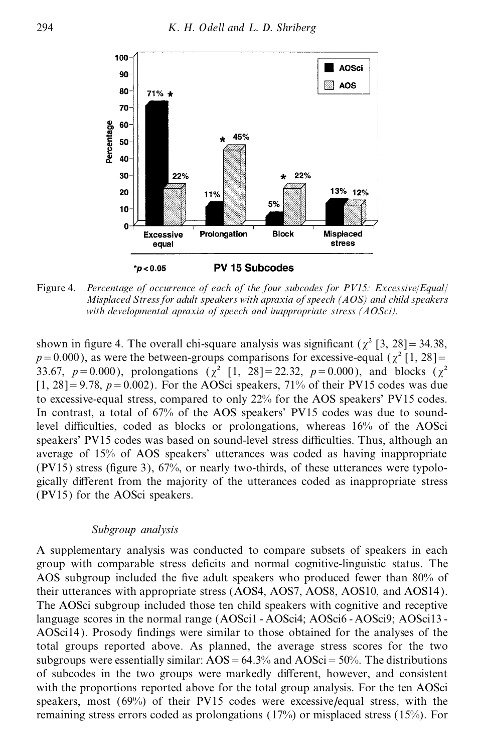

Figure 4. *Percentage of occurrence of each of the four subcodes for PV15: Excessive*/*Equal*/ *Misplaced Stress for adult speakers with apraxia of speech (AOS) and child speakers with developmental apraxia of speech and inappropriate stress (AOSci).*

shown in figure 4. The overall chi-square analysis was significant ( $\chi^2$  [3, 28] = 34.38,  $p=0.000$ ), as were the between-groups comparisons for excessive-equal ( $\gamma^2$  [1, 28]= 33.67,  $p=0.000$ ), prolongations ( $\chi^2$  [1, 28] = 22.32,  $p=0.000$ ), and blocks ( $\chi^2$  $[1, 28] = 9.78$ ,  $p = 0.002$ ). For the AOSci speakers, 71% of their PV15 codes was due to excessive-equal stress, compared to only 22% for the AOS speakers' PV15 codes. In contrast, a total of 67% of the AOS speakers' PV15 codes was due to soundlevel difficulties, coded as blocks or prolongations, whereas 16% of the AOSci speakers' PV15 codes was based on sound-level stress difficulties. Thus, although an average of 15% of AOS speakers' utterances was coded as having inappropriate (PV15) stress (figure 3),  $67\%$ , or nearly two-thirds, of these utterances were typologically different from the majority of the utterances coded as inappropriate stress (PV15) for the AOSci speakers.

#### *Subgroup analysis*

A supplementary analysis was conducted to compare subsets of speakers in each group with comparable stress deficits and normal cognitive-linguistic status. The AOS subgroup included the five adult speakers who produced fewer than 80% of their utterances with appropriate stress (AOS4, AOS7, AOS8, AOS10, and AOS14 ). The AOSci subgroup included those ten child speakers with cognitive and receptive language scores in the normal range (AOSci1 - AOSci4; AOSci6 - AOSci9; AOSci13 - AOSci14). Prosody findings were similar to those obtained for the analyses of the total groups reported above. As planned, the average stress scores for the two subgroups were essentially similar:  $AOS = 64.3\%$  and  $AOS$ ci $= 50\%$ . The distributions of subcodes in the two groups were markedly different, however, and consistent with the proportions reported above for the total group analysis. For the ten AOSci speakers, most (69%) of their PV15 codes were excessive/equal stress, with the remaining stress errors coded as prolongations (17%) or misplaced stress (15%). For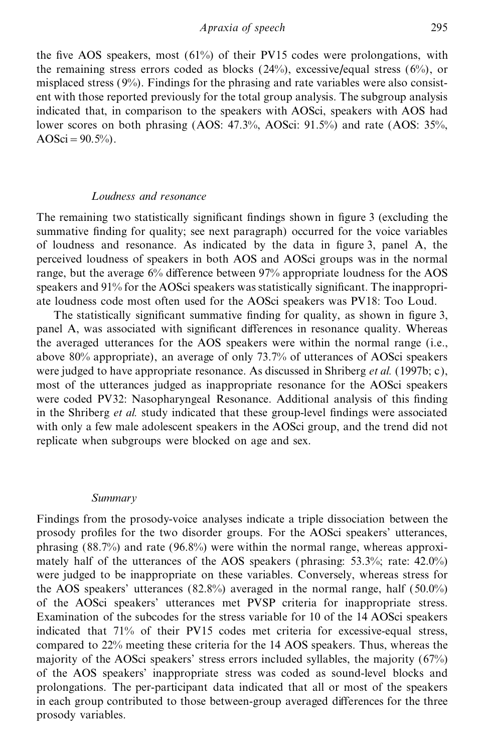the five AOS speakers, most  $(61%)$  of their PV15 codes were prolongations, with the remaining stress errors coded as blocks  $(24\%)$ , excessive/equal stress  $(6\%)$ , or misplaced stress  $(9%)$ . Findings for the phrasing and rate variables were also consistent with those reported previously for the total group analysis. The subgroup analysis indicated that, in comparison to the speakers with AOSci, speakers with AOS had lower scores on both phrasing (AOS: 47.3%, AOSci: 91.5%) and rate (AOS: 35%, AOSci =  $90.5%$ ).

#### *Loudness and resonance*

The remaining two statistically significant findings shown in figure 3 (excluding the summative finding for quality; see next paragraph) occurred for the voice variables of loudness and resonance. As indicated by the data in figure 3, panel A, the perceived loudness of speakers in both AOS and AOSci groups was in the normal range, but the average  $6\%$  difference between  $97\%$  appropriate loudness for the AOS speakers and 91% for the AOSci speakers was statistically significant. The inappropriate loudness code most often used for the AOSci speakers was PV18: Too Loud.

The statistically significant summative finding for quality, as shown in figure 3, panel A, was associated with significant differences in resonance quality. Whereas the averaged utterances for the AOS speakers were within the normal range (i.e., above 80% appropriate), an average of only 73.7% of utterances of AOSci speakers were judged to have appropriate resonance. As discussed in Shriberg *et al.* (1997b; c), most of the utterances judged as inappropriate resonance for the AOSci speakers were coded PV32: Nasopharyngeal Resonance. Additional analysis of this finding in the Shriberg *et al.* study indicated that these group-level findings were associated with only a few male adolescent speakers in the AOSci group, and the trend did not replicate when subgroups were blocked on age and sex.

#### *Summary*

Findings from the prosody-voice analyses indicate a triple dissociation between the prosody profiles for the two disorder groups. For the AOSci speakers' utterances, phrasing (88.7%) and rate (96.8%) were within the normal range, whereas approximately half of the utterances of the AOS speakers (phrasing: 53.3%; rate: 42.0%) were judged to be inappropriate on these variables. Conversely, whereas stress for the AOS speakers' utterances (82.8%) averaged in the normal range, half (50.0%) of the AOSci speakers' utterances met PVSP criteria for inappropriate stress. Examination of the subcodes for the stress variable for 10 of the 14 AOSci speakers indicated that 71% of their PV15 codes met criteria for excessive-equal stress, compared to 22% meeting these criteria for the 14 AOS speakers. Thus, whereas the majority of the AOSci speakers' stress errors included syllables, the majority (67%) of the AOS speakers' inappropriate stress was coded as sound-level blocks and prolongations. The per-participant data indicated that all or most of the speakers in each group contributed to those between-group averaged differences for the three prosody variables.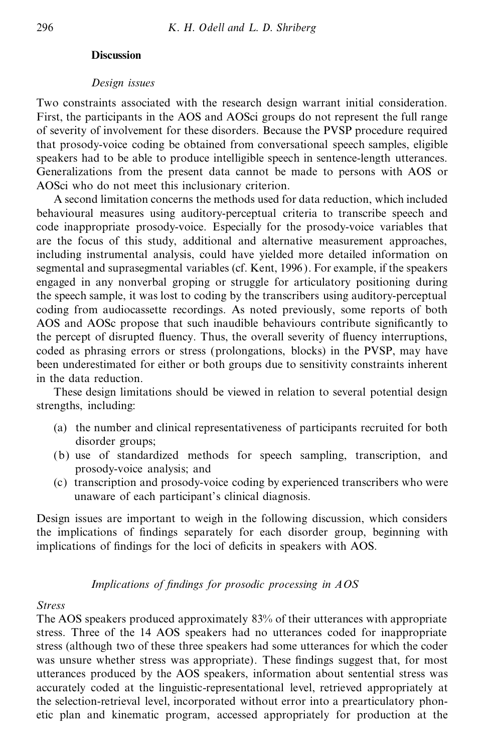#### **Discussion**

#### *Design issues*

Two constraints associated with the research design warrant initial consideration. First, the participants in the AOS and AOSci groups do not represent the full range of severity of involvement for these disorders. Because the PVSP procedure required that prosody-voice coding be obtained from conversational speech samples, eligible speakers had to be able to produce intelligible speech in sentence-length utterances. Generalizations from the present data cannot be made to persons with AOS or AOSci who do not meet this inclusionary criterion.

A second limitation concerns the methods used for data reduction, which included behavioural measures using auditory-perceptual criteria to transcribe speech and code inappropriate prosody-voice. Especially for the prosody-voice variables that are the focus of this study, additional and alternative measurement approaches, including instrumental analysis, could have yielded more detailed information on segmental and suprasegmental variables (cf. Kent, 1996). For example, if the speakers engaged in any nonverbal groping or struggle for articulatory positioning during the speech sample, it was lost to coding by the transcribers using auditory-perceptual coding from audiocassette recordings. As noted previously, some reports of both AOS and AOSc propose that such inaudible behaviours contribute significantly to the percept of disrupted fluency. Thus, the overall severity of fluency interruptions, coded as phrasing errors or stress (prolongations, blocks) in the PVSP, may have been underestimated for either or both groups due to sensitivity constraints inherent in the data reduction.

These design limitations should be viewed in relation to several potential design strengths, including:

- (a) the number and clinical representativeness of participants recruited for both disorder groups;
- (b) use of standardized methods for speech sampling, transcription, and prosody-voice analysis; and
- (c) transcription and prosody-voice coding by experienced transcribers who were unaware of each participant's clinical diagnosis.

Design issues are important to weigh in the following discussion, which considers the implications of findings separately for each disorder group, beginning with implications of findings for the loci of deficits in speakers with AOS.

## *Implications of findings for prosodic processing in AOS*

#### *Stress*

The AOS speakers produced approximately 83% of their utterances with appropriate stress. Three of the 14 AOS speakers had no utterances coded for inappropriate stress (although two of these three speakers had some utterances for which the coder was unsure whether stress was appropriate). These findings suggest that, for most utterances produced by the AOS speakers, information about sentential stress was accurately coded at the linguistic-representational level, retrieved appropriately at the selection-retrieval level, incorporated without error into a prearticulatory phonetic plan and kinematic program, accessed appropriately for production at the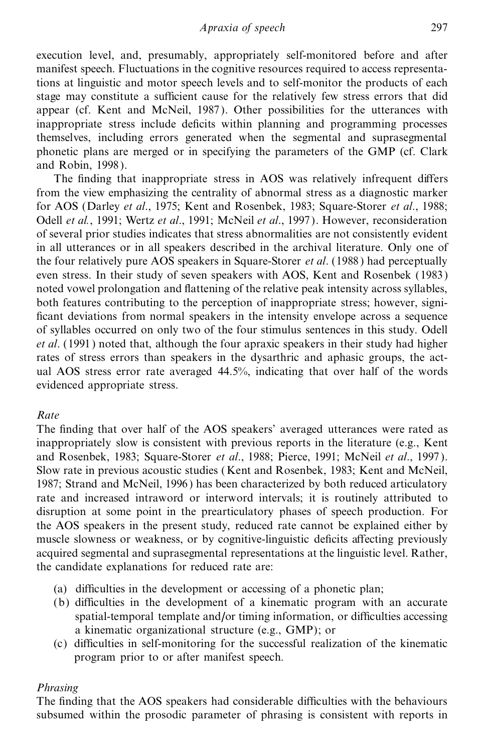execution level, and, presumably, appropriately self-monitored before and after manifest speech. Fluctuations in the cognitive resources required to access representations at linguistic and motor speech levels and to self-monitor the products of each stage may constitute a sufficient cause for the relatively few stress errors that did appear (cf. Kent and McNeil, 1987). Other possibilities for the utterances with inappropriate stress include deficits within planning and programming processes themselves, including errors generated when the segmental and suprasegmental phonetic plans are merged or in specifying the parameters of the GMP (cf. Clark and Robin, 1998 ).

The finding that inappropriate stress in AOS was relatively infrequent differs from the view emphasizing the centrality of abnormal stress as a diagnostic marker for AOS (Darley *et al*., 1975; Kent and Rosenbek, 1983; Square-Storer *et al*., 1988; Odell *et al.*, 1991; Wertz *et al*., 1991; McNeil *et al*., 1997 ). However, reconsideration of several prior studies indicates that stress abnormalities are not consistently evident in all utterances or in all speakers described in the archival literature. Only one of the four relatively pure AOS speakers in Square-Storer *et al*. (1988 ) had perceptually even stress. In their study of seven speakers with AOS, Kent and Rosenbek (1983 ) noted vowel prolongation and flattening of the relative peak intensity across syllables, both features contributing to the perception of inappropriate stress; however, signi ficant deviations from normal speakers in the intensity envelope across a sequence of syllables occurred on only two of the four stimulus sentences in this study. Odell *et al.* (1991) noted that, although the four apraxic speakers in their study had higher rates of stress errors than speakers in the dysarthric and aphasic groups, the actual AOS stress error rate averaged 44.5%, indicating that over half of the words evidenced appropriate stress.

# *Rate*

The finding that over half of the AOS speakers' averaged utterances were rated as inappropriately slow is consistent with previous reports in the literature (e.g., Kent and Rosenbek, 1983; Square-Storer *et al*., 1988; Pierce, 1991; McNeil *et al*., 1997 ). Slow rate in previous acoustic studies (Kent and Rosenbek, 1983; Kent and McNeil, 1987; Strand and McNeil, 1996 ) has been characterized by both reduced articulatory rate and increased intraword or interword intervals; it is routinely attributed to disruption at some point in the prearticulatory phases of speech production. For the AOS speakers in the present study, reduced rate cannot be explained either by muscle slowness or weakness, or by cognitive-linguistic deficits affecting previously acquired segmental and suprasegmental representations at the linguistic level. Rather, the candidate explanations for reduced rate are:

- (a) difficulties in the development or accessing of a phonetic plan;
- (b) difficulties in the development of a kinematic program with an accurate spatial-temporal template and/or timing information, or difficulties accessing a kinematic organizational structure (e.g., GMP); or
- (c) difficulties in self-monitoring for the successful realization of the kinematic program prior to or after manifest speech.

# *Phrasing*

The finding that the AOS speakers had considerable difficulties with the behaviours subsumed within the prosodic parameter of phrasing is consistent with reports in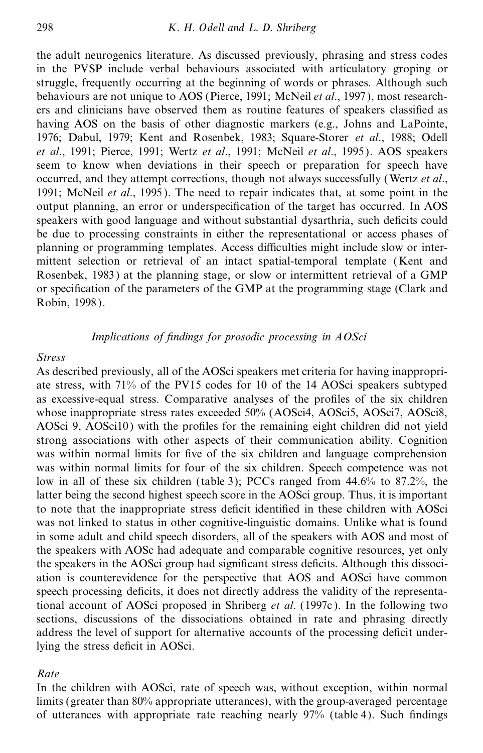the adult neurogenics literature. As discussed previously, phrasing and stress codes in the PVSP include verbal behaviours associated with articulatory groping or struggle, frequently occurring at the beginning of words or phrases. Although such behaviours are not unique to AOS (Pierce, 1991; McNeil *et al.*, 1997), most researchers and clinicians have observed them as routine features of speakers classified as having AOS on the basis of other diagnostic markers (e.g., Johns and LaPointe, 1976; Dabul, 1979; Kent and Rosenbek, 1983; Square-Storer *et al*., 1988; Odell *et al*., 1991; Pierce, 1991; Wertz *et al*., 1991; McNeil *et al*., 1995 ). AOS speakers seem to know when deviations in their speech or preparation for speech have occurred, and they attempt corrections, though not always successfully (Wertz *et al*., 1991; McNeil *et al.*, 1995). The need to repair indicates that, at some point in the output planning, an error or underspecification of the target has occurred. In AOS speakers with good language and without substantial dysarthria, such deficits could be due to processing constraints in either the representational or access phases of planning or programming templates. Access difficulties might include slow or intermittent selection or retrieval of an intact spatial-temporal template (Kent and Rosenbek, 1983 ) at the planning stage, or slow or intermittent retrieval of a GMP or specification of the parameters of the GMP at the programming stage (Clark and Robin, 1998 ).

#### *Implications of findings for prosodic processing in AOSci*

#### *Stress*

As described previously, all of the AOSci speakers met criteria for having inappropriate stress, with 71% of the PV15 codes for 10 of the 14 AOSci speakers subtyped as excessive-equal stress. Comparative analyses of the profiles of the six children whose inappropriate stress rates exceeded 50% (AOSci4, AOSci5, AOSci7, AOSci8, AOSci 9, AOSci10) with the profiles for the remaining eight children did not yield strong associations with other aspects of their communication ability. Cognition was within normal limits for five of the six children and language comprehension was within normal limits for four of the six children. Speech competence was not low in all of these six children (table 3); PCCs ranged from 44.6% to 87.2%, the latter being the second highest speech score in the AOSci group. Thus, it is important to note that the inappropriate stress deficit identified in these children with AOSci was not linked to status in other cognitive-linguistic domains. Unlike what is found in some adult and child speech disorders, all of the speakers with AOS and most of the speakers with AOSc had adequate and comparable cognitive resources, yet only the speakers in the AOSci group had significant stress deficits. Although this dissociation is counterevidence for the perspective that AOS and AOSci have common speech processing deficits, it does not directly address the validity of the representational account of AOSci proposed in Shriberg *et al*. (1997c ). In the following two sections, discussions of the dissociations obtained in rate and phrasing directly address the level of support for alternative accounts of the processing deficit underlying the stress deficit in AOSci.

#### *Rate*

In the children with AOSci, rate of speech was, without exception, within normal limits (greater than 80% appropriate utterances), with the group-averaged percentage of utterances with appropriate rate reaching nearly  $97%$  (table 4). Such findings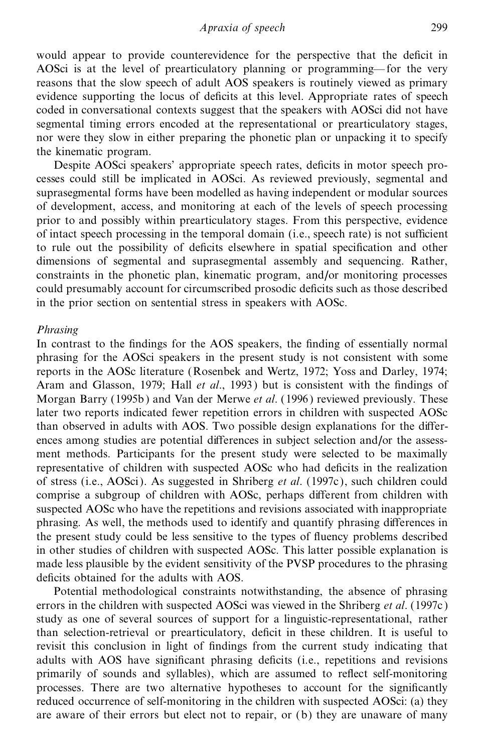would appear to provide counterevidence for the perspective that the deficit in AOSci is at the level of prearticulatory planning or programming—for the very reasons that the slow speech of adult AOS speakers is routinely viewed as primary evidence supporting the locus of deficits at this level. Appropriate rates of speech coded in conversational contexts suggest that the speakers with AOSci did not have segmental timing errors encoded at the representational or prearticulatory stages, nor were they slow in either preparing the phonetic plan or unpacking it to specify the kinematic program.

Despite AOSci speakers' appropriate speech rates, deficits in motor speech processes could still be implicated in AOSci. As reviewed previously, segmental and suprasegmental forms have been modelled as having independent or modular sources of development, access, and monitoring at each of the levels of speech processing prior to and possibly within prearticulatory stages. From this perspective, evidence of intact speech processing in the temporal domain (i.e., speech rate) is not sufficient to rule out the possibility of deficits elsewhere in spatial specification and other dimensions of segmental and suprasegmental assembly and sequencing. Rather, constraints in the phonetic plan, kinematic program, and/or monitoring processes could presumably account for circumscribed prosodic deficits such as those described in the prior section on sentential stress in speakers with AOSc.

#### *Phrasing*

In contrast to the findings for the AOS speakers, the finding of essentially normal phrasing for the AOSci speakers in the present study is not consistent with some reports in the AOSc literature (Rosenbek and Wertz, 1972; Yoss and Darley, 1974; Aram and Glasson, 1979; Hall *et al.*, 1993) but is consistent with the findings of Morgan Barry (1995b) and Van der Merwe *et al*. (1996 ) reviewed previously. These later two reports indicated fewer repetition errors in children with suspected AOSc than observed in adults with AOS. Two possible design explanations for the differences among studies are potential differences in subject selection and/or the assessment methods. Participants for the present study were selected to be maximally representative of children with suspected AOSc who had deficits in the realization of stress (i.e., AOSci). As suggested in Shriberg *et al*. (1997c ), such children could comprise a subgroup of children with AOSc, perhaps different from children with suspected AOSc who have the repetitions and revisions associated with inappropriate phrasing. As well, the methods used to identify and quantify phrasing differences in the present study could be less sensitive to the types of fluency problems described in other studies of children with suspected AOSc. This latter possible explanation is made less plausible by the evident sensitivity of the PVSP procedures to the phrasing deficits obtained for the adults with AOS.

Potential methodological constraints notwithstanding, the absence of phrasing errors in the children with suspected AOSci was viewed in the Shriberg *et al*. (1997c ) study as one of several sources of support for a linguistic-representational, rather than selection-retrieval or prearticulatory, deficit in these children. It is useful to revisit this conclusion in light of findings from the current study indicating that adults with AOS have significant phrasing deficits (i.e., repetitions and revisions primarily of sounds and syllables), which are assumed to reflect self-monitoring processes. There are two alternative hypotheses to account for the significantly reduced occurrence of self-monitoring in the children with suspected AOSci: (a) they are aware of their errors but elect not to repair, or (b) they are unaware of many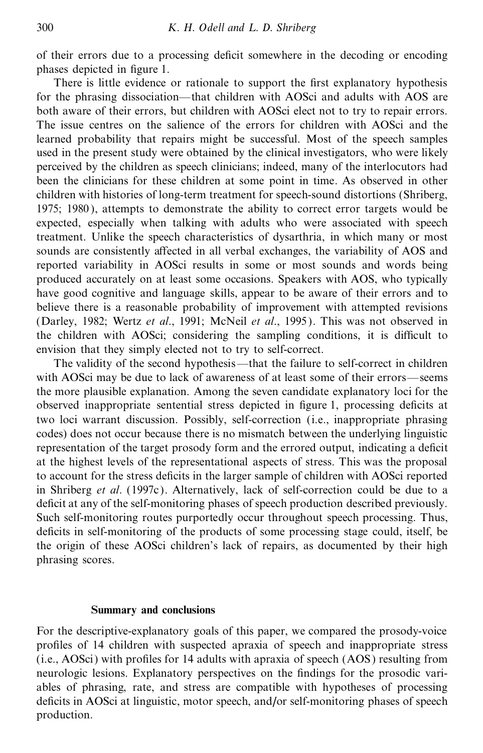of their errors due to a processing deficit somewhere in the decoding or encoding phases depicted in figure 1.

There is little evidence or rationale to support the first explanatory hypothesis for the phrasing dissociation—that children with AOSci and adults with AOS are both aware of their errors, but children with AOSci elect not to try to repair errors. The issue centres on the salience of the errors for children with AOSci and the learned probability that repairs might be successful. Most of the speech samples used in the present study were obtained by the clinical investigators, who were likely perceived by the children as speech clinicians; indeed, many of the interlocutors had been the clinicians for these children at some point in time. As observed in other children with histories of long-term treatment for speech-sound distortions (Shriberg, 1975; 1980 ), attempts to demonstrate the ability to correct error targets would be expected, especially when talking with adults who were associated with speech treatment. Unlike the speech characteristics of dysarthria, in which many or most sounds are consistently affected in all verbal exchanges, the variability of AOS and reported variability in AOSci results in some or most sounds and words being produced accurately on at least some occasions. Speakers with AOS, who typically have good cognitive and language skills, appear to be aware of their errors and to believe there is a reasonable probability of improvement with attempted revisions (Darley, 1982; Wertz et al., 1991; McNeil et al., 1995). This was not observed in the children with AOSci; considering the sampling conditions, it is difficult to envision that they simply elected not to try to self-correct.

The validity of the second hypothesis—that the failure to self-correct in children with AOSci may be due to lack of awareness of at least some of their errors—seems the more plausible explanation. Among the seven candidate explanatory loci for the observed inappropriate sentential stress depicted in figure 1, processing deficits at two loci warrant discussion. Possibly, self-correction (i.e., inappropriate phrasing codes) does not occur because there is no mismatch between the underlying linguistic representation of the target prosody form and the errored output, indicating a deficit at the highest levels of the representational aspects of stress. This was the proposal to account for the stress deficits in the larger sample of children with AOSci reported in Shriberg *et al*. (1997c ). Alternatively, lack of self-correction could be due to a deficit at any of the self-monitoring phases of speech production described previously. Such self-monitoring routes purportedly occur throughout speech processing. Thus, deficits in self-monitoring of the products of some processing stage could, itself, be the origin of these AOSci children's lack of repairs, as documented by their high phrasing scores.

#### **Summary and conclusions**

For the descriptive-explanatory goals of this paper, we compared the prosody-voice pro®les of 14 children with suspected apraxia of speech and inappropriate stress  $(i.e., AOSc)$  with profiles for 14 adults with apraxia of speech  $(AOS)$  resulting from neurologic lesions. Explanatory perspectives on the findings for the prosodic variables of phrasing, rate, and stress are compatible with hypotheses of processing deficits in AOSci at linguistic, motor speech, and/or self-monitoring phases of speech production.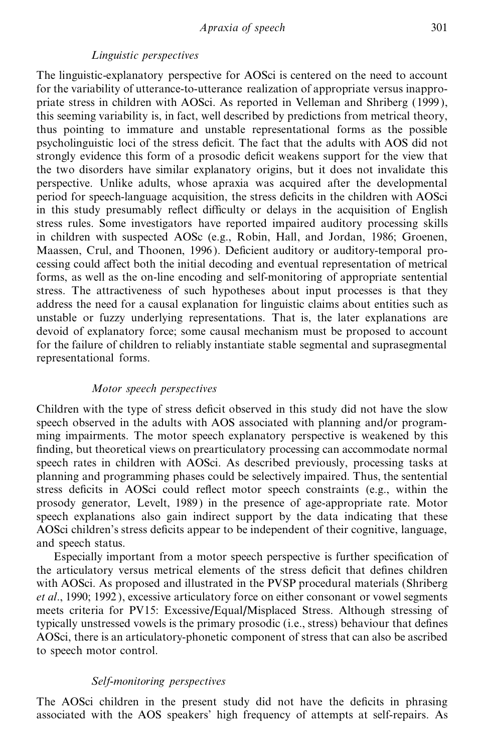#### *Linguistic perspectives*

The linguistic-explanatory perspective for AOSci is centered on the need to account for the variability of utterance-to-utterance realization of appropriate versus inappropriate stress in children with AOSci. As reported in Velleman and Shriberg (1999 ), this seeming variability is, in fact, well described by predictions from metrical theory, thus pointing to immature and unstable representational forms as the possible psycholinguistic loci of the stress deficit. The fact that the adults with AOS did not strongly evidence this form of a prosodic deficit weakens support for the view that the two disorders have similar explanatory origins, but it does not invalidate this perspective. Unlike adults, whose apraxia was acquired after the developmental period for speech-language acquisition, the stress deficits in the children with AOSci in this study presumably reflect difficulty or delays in the acquisition of English stress rules. Some investigators have reported impaired auditory processing skills in children with suspected AOSc (e.g., Robin, Hall, and Jordan, 1986; Groenen, Maassen, Crul, and Thoonen, 1996). Deficient auditory or auditory-temporal processing could aŒect both the initial decoding and eventual representation of metrical forms, as well as the on-line encoding and self-monitoring of appropriate sentential stress. The attractiveness of such hypotheses about input processes is that they address the need for a causal explanation for linguistic claims about entities such as unstable or fuzzy underlying representations. That is, the later explanations are devoid of explanatory force; some causal mechanism must be proposed to account for the failure of children to reliably instantiate stable segmental and suprasegmental representational forms.

## *Motor speech perspectives*

Children with the type of stress deficit observed in this study did not have the slow speech observed in the adults with AOS associated with planning and/or programming impairments. The motor speech explanatory perspective is weakened by this finding, but theoretical views on prearticulatory processing can accommodate normal speech rates in children with AOSci. As described previously, processing tasks at planning and programming phases could be selectively impaired. Thus, the sentential stress deficits in AOSci could reflect motor speech constraints (e.g., within the prosody generator, Levelt, 1989 ) in the presence of age-appropriate rate. Motor speech explanations also gain indirect support by the data indicating that these AOSci children's stress deficits appear to be independent of their cognitive, language, and speech status.

Especially important from a motor speech perspective is further specification of the articulatory versus metrical elements of the stress deficit that defines children with AOSci. As proposed and illustrated in the PVSP procedural materials (Shriberg *et al.*, 1990; 1992), excessive articulatory force on either consonant or vowel segments meets criteria for PV15: Excessive/Equal/Misplaced Stress. Although stressing of typically unstressed vowels is the primary prosodic (i.e., stress) behaviour that defines AOSci, there is an articulatory-phonetic component of stress that can also be ascribed to speech motor control.

### *Self-monitoring perspectives*

The AOSci children in the present study did not have the deficits in phrasing associated with the AOS speakers' high frequency of attempts at self-repairs. As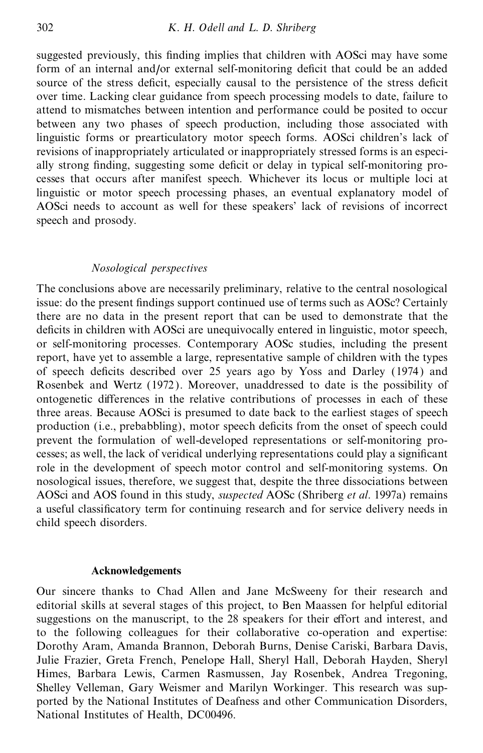suggested previously, this finding implies that children with AOSci may have some form of an internal and/or external self-monitoring deficit that could be an added source of the stress deficit, especially causal to the persistence of the stress deficit over time. Lacking clear guidance from speech processing models to date, failure to attend to mismatches between intention and performance could be posited to occur between any two phases of speech production, including those associated with linguistic forms or prearticulatory motor speech forms. AOSci children's lack of revisions of inappropriately articulated or inappropriately stressed forms is an especially strong finding, suggesting some deficit or delay in typical self-monitoring processes that occurs after manifest speech. Whichever its locus or multiple loci at linguistic or motor speech processing phases, an eventual explanatory model of AOSci needs to account as well for these speakers' lack of revisions of incorrect speech and prosody.

## *Nosological perspectives*

The conclusions above are necessarily preliminary, relative to the central nosological issue: do the present findings support continued use of terms such as AOSc? Certainly there are no data in the present report that can be used to demonstrate that the deficits in children with AOSci are unequivocally entered in linguistic, motor speech, or self-monitoring processes. Contemporary AOSc studies, including the present report, have yet to assemble a large, representative sample of children with the types of speech deficits described over 25 years ago by Yoss and Darley (1974) and Rosenbek and Wertz (1972 ). Moreover, unaddressed to date is the possibility of ontogenetic differences in the relative contributions of processes in each of these three areas. Because AOSci is presumed to date back to the earliest stages of speech production (i.e., prebabbling), motor speech deficits from the onset of speech could prevent the formulation of well-developed representations or self-monitoring processes; as well, the lack of veridical underlying representations could play a significant role in the development of speech motor control and self-monitoring systems. On nosological issues, therefore, we suggest that, despite the three dissociations between AOSci and AOS found in this study, *suspected* AOSc (Shriberg *et al*. 1997a) remains a useful classificatory term for continuing research and for service delivery needs in child speech disorders.

#### **Acknowledgements**

Our sincere thanks to Chad Allen and Jane McSweeny for their research and editorial skills at several stages of this project, to Ben Maassen for helpful editorial suggestions on the manuscript, to the 28 speakers for their effort and interest, and to the following colleagues for their collaborative co-operation and expertise: Dorothy Aram, Amanda Brannon, Deborah Burns, Denise Cariski, Barbara Davis, Julie Frazier, Greta French, Penelope Hall, Sheryl Hall, Deborah Hayden, Sheryl Himes, Barbara Lewis, Carmen Rasmussen, Jay Rosenbek, Andrea Tregoning, Shelley Velleman, Gary Weismer and Marilyn Workinger. This research was supported by the National Institutes of Deafness and other Communication Disorders, National Institutes of Health, DC00496.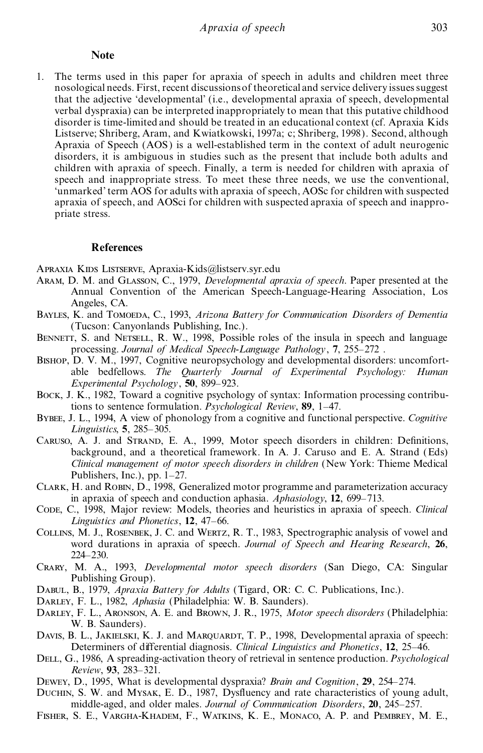#### **Note**

1. The terms used in this paper for apraxia of speech in adults and children meet three nosological needs. First, recent discussionsof theoretical and service delivery issuessuggest that the adjective `developmental' (i.e., developmental apraxia of speech, developmental verbal dyspraxia) can be interpreted inappropriately to mean that this putative childhood disorder is time-limited and should be treated in an educational context (cf. Apraxia Kids Listserve; Shriberg, Aram, and Kwiatkowski, 1997a; c; Shriberg, 1998). Second, although Apraxia of Speech (AOS) is a well-established term in the context of adult neurogenic disorders, it is ambiguous in studies such as the present that include both adults and children with apraxia of speech. Finally, a term is needed for children with apraxia of speech and inappropriate stress. To meet these three needs, we use the conventional, `unmarked' term AOS for adults with apraxia of speech, AOSc for children with suspected apraxia of speech, and AOSci for children with suspected apraxia of speech and inappropriate stress.

#### **References**

Apraxia Kids Listserve, Apraxia-Kids@listserv.syr.edu

- Aram, D. M. and Glasson, C., 1979, *Developmental apraxia of speech*. Paper presented at the Annual Convention of the American Speech-Language-Hearing Association, Los Angeles, CA.
- Bayles, K. and Tomoeda, C., 1993, *Arizona Battery for Communication Disorders of Dementia* (Tucson: Canyonlands Publishing, Inc.).
- BENNETT, S. and NETSELL, R. W., 1998, Possible roles of the insula in speech and language processing. *Journal of Medical Speech-Language Pathology*, **7**, 255±272 .
- Bishop, D. V. M., 1997, Cognitive neuropsychology and developmental disorders: uncomfortable bedfellows. *The Quarterly Journal of Experimental Psychology: Human Experimental Psychology*, 50, 899–923.
- Bock, J. K., 1982, Toward a cognitive psychology of syntax: Information processing contributions to sentence formulation. *Psychological Review*, 89, 1-47.
- Bybee, J. L., 1994, A view of phonology from a cognitive and functional perspective. *Cognitive Linguistics*, 5, 285–305.
- CARUSO, A. J. and STRAND, E. A., 1999, Motor speech disorders in children: Definitions, background, and a theoretical framework. In A. J. Caruso and E. A. Strand (Eds) *Clinical management of motor speech disorders in children* (New York: Thieme Medical Publishers, Inc.), pp.  $1-27$ .
- Clark, H. and Robin, D., 1998, Generalized motor programme and parameterization accuracy in apraxia of speech and conduction aphasia. *Aphasiology*, **12**, 699–713.
- Code, C., 1998, Major review: Models, theories and heuristics in apraxia of speech. *Clinical Linguistics* and *Phonetics*, 12, 47-66.
- Collins, M. J., Rosenbek, J. C. and Wertz, R. T., 1983, Spectrographic analysis of vowel and word durations in apraxia of speech. *Journal of Speech and Hearing Research*, **26**,  $224 - 230.$
- Crary, M. A., 1993, *Developmental motor speech disorders* (San Diego, CA: Singular Publishing Group).
- Dabul, B., 1979, *Apraxia Battery for Adults* (Tigard, OR: C. C. Publications, Inc.).
- Darley, F. L., 1982, *Aphasia* (Philadelphia: W. B. Saunders).
- Darley, F. L., Aronson, A. E. and Brown, J. R., 1975, *Motor speech disorders* (Philadelphia: W. B. Saunders).
- DAVIS, B. L., JAKIELSKI, K. J. and MARQUARDT, T. P., 1998, Developmental apraxia of speech: Determiners of differential diagnosis. *Clinical Linguistics and Phonetics*, 12, 25–46.
- Dell, G., 1986, A spreading-activation theory of retrieval in sentence production. *Psychological Review*, **93**, 283±321.
- Dewey, D., 1995, What is developmental dyspraxia? *Brain and Cognition*, **29**, 254±274.
- DUCHIN, S. W. and Mysak, E. D., 1987, Dysfluency and rate characteristics of young adult, middle-aged, and older males. *Journal of Communication Disorders*, 20, 245-257.
- Fisher, S. E., Vargha-Khadem, F., Watkins, K. E., Monaco, A. P. and Pembrey, M. E.,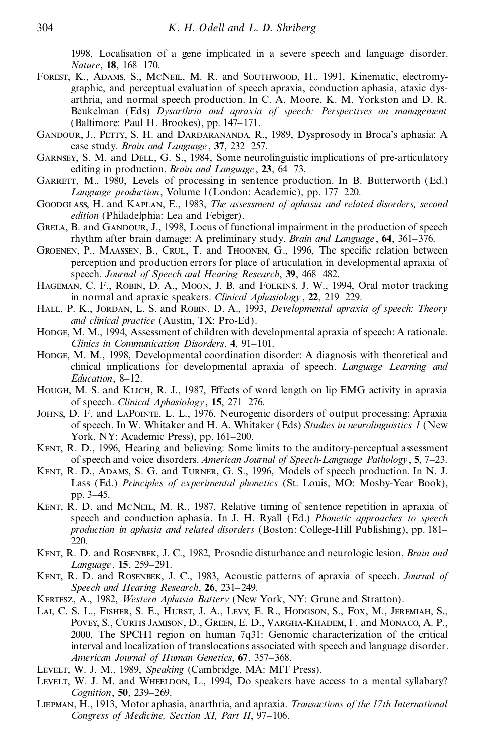1998, Localisation of a gene implicated in a severe speech and language disorder. *Nature*, **18**, 168-170.

- Forest, K., Adams, S., McNeil, M. R. and Southwood, H., 1991, Kinematic, electromygraphic, and perceptual evaluation of speech apraxia, conduction aphasia, ataxic dysarthria, and normal speech production. In C. A. Moore, K. M. Yorkston and D. R. Beukelman (Eds) *Dysarthria and apraxia of speech: Perspectives on management* (Baltimore: Paul H. Brookes), pp. 147-171.
- Gandour, J., Petty, S. H. and Dardarananda, R., 1989, Dysprosody in Broca's aphasia: A case study. *Brain and Language*, 37, 232-257.
- Garnsey, S. M. and Dell, G. S., 1984, Some neurolinguistic implications of pre-articulatory editing in production. *Brain and Language*, 23, 64–73.
- GARRETT, M., 1980, Levels of processing in sentence production. In B. Butterworth (Ed.) *Language production*, Volume 1(London: Academic), pp. 177–220.
- Goodglass, H. and Kaplan, E., 1983, *The assessment of aphasia and related disorders, second edition* (Philadelphia: Lea and Febiger).
- GRELA, B. and GANDOUR, J., 1998, Locus of functional impairment in the production of speech rhythm after brain damage: A preliminary study. *Brain and Language* , **64**, 361±376.
- GROENEN, P., MAASSEN, B., CRUL, T. and THOONEN, G., 1996, The specific relation between perception and production errors for place of articulation in developmental apraxia of speech. *Journal of Speech and Hearing Research*, 39, 468–482.
- Hageman, C. F., Robin, D. A., Moon, J. B. and Folkins, J. W., 1994, Oral motor tracking in normal and apraxic speakers. *Clinical Aphasiology*, 22, 219-229.
- Hall, P. K., Jordan, L. S. and Robin, D. A., 1993, *Developmental apraxia of speech: Theory and clinical practice* (Austin, TX: Pro-Ed).
- Hodge, M. M., 1994, Assessment of children with developmental apraxia of speech: A rationale. *Clinics in Communication Disorders*, 4, 91-101.
- HODGE, M. M., 1998, Developmental coordination disorder: A diagnosis with theoretical and clinical implications for developmental apraxia of speech. *Language Learning and Education*, 8-12.
- HOUGH, M. S. and KLICH, R. J., 1987, Effects of word length on lip EMG activity in apraxia of speech. *Clinical Aphasiology*, 15, 271-276.
- Johns, D. F. and LaPointe, L. L., 1976, Neurogenic disorders of output processing: Apraxia of speech. In W. Whitaker and H. A. Whitaker (Eds) *Studies in neurolinguistics 1* (New York, NY: Academic Press), pp. 161-200.
- KENT, R. D., 1996, Hearing and believing: Some limits to the auditory-perceptual assessment of speech and voice disorders. *American Journal of Speech-Language Pathology*, **5**, 7±23.
- Kent, R. D., Adams, S. G. and Turner, G. S., 1996, Models of speech production. In N. J. Lass (Ed.) *Principles of experimental phonetics* (St. Louis, MO: Mosby-Year Book), pp. 3–45.
- KENT, R. D. and McNELL, M. R., 1987, Relative timing of sentence repetition in apraxia of speech and conduction aphasia. In J. H. Ryall (Ed.) *Phonetic approaches to speech production in aphasia and related disorders* (Boston: College-Hill Publishing), pp. 181± 220.
- Kent, R. D. and Rosenbek, J. C., 1982, Prosodic disturbance and neurologic lesion. *Brain and Language*, **15**, 259-291.
- Kent, R. D. and Rosenbek, J. C., 1983, Acoustic patterns of apraxia of speech. *Journal of Speech and Hearing Research*, 26, 231-249.
- Kertesz, A., 1982, *Western Aphasia Battery* (New York, NY: Grune and Stratton).
- Lai, C. S. L., Fisher, S. E., Hurst, J. A., Levy, E. R., Hodgson, S., Fox, M., Jeremiah, S., Povey, S., Curtis Jamison, D., Green, E. D., Vargha-Khadem, F. and Monaco, A. P., 2000, The SPCH1 region on human 7q31: Genomic characterization of the critical interval and localization of translocations associated with speech and language disorder. *American Journal of Human Genetics*, **67**, 357±368.
- Levelt, W. J. M., 1989, *Speaking* (Cambridge, MA: MIT Press).
- LEVELT, W. J. M. and WHEELDON, L., 1994, Do speakers have access to a mental syllabary? *Cognition*, **50**, 239-269.
- Liepman, H., 1913, Motor aphasia, anarthria, and apraxia. *Transactions of the 17th International Congress of Medicine, Section XI, Part II, 97-106.*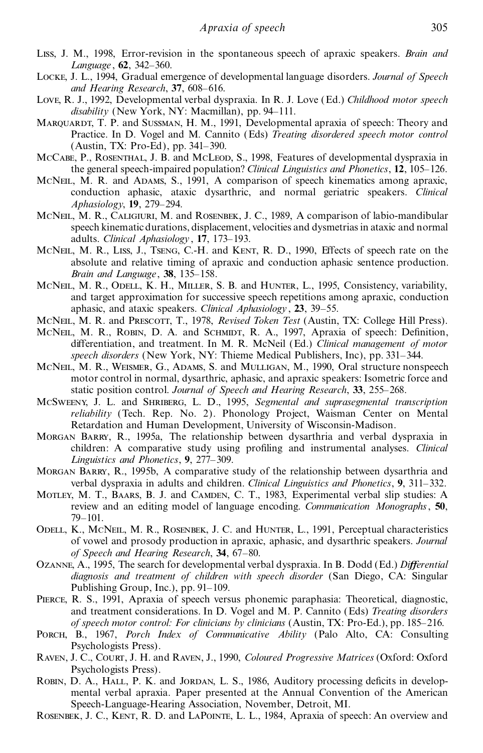- Liss, J. M., 1998, Error-revision in the spontaneous speech of apraxic speakers. *Brain and* Language, 62, 342-360.
- Locke, J. L., 1994, Gradual emergence of developmental language disorders. *Journal of Speech and Hearing Research*, 37, 608-616.
- Love, R. J., 1992, Developmental verbal dyspraxia. In R. J. Love (Ed.) *Childhood motor speech*  $disability$  (New York, NY: Macmillan), pp. 94–111.
- MAROUARDT, T. P. and SUSSMAN, H. M., 1991, Developmental apraxia of speech: Theory and Practice. In D. Vogel and M. Cannito (Eds) *Treating disordered speech motor control*  $(Austin, TX: Pro-Ed)$ , pp. 341–390.
- McCabe, P., ROSENTHAL, J. B. and McLeop, S., 1998. Features of developmental dyspraxia in the general speech-impaired population? *Clinical Linguistics and Phonetics*, **12**, 105±126.
- McNeil, M. R. and Adams, S., 1991, A comparison of speech kinematics among apraxic, conduction aphasic, ataxic dysarthric, and normal geriatric speakers. *Clinical Aphasiology*, **19**, 279±294.
- MCNEIL, M. R., CALIGIURI, M. and ROSENBEK, J. C., 1989, A comparison of labio-mandibular speech kinematic durations, displacement, velocities and dysmetriasin ataxic and normal adults. *Clinical Aphasiology*, 17, 173-193.
- MCNEIL, M. R., LISS, J., TSENG, C.-H. and KENT, R. D., 1990, Effects of speech rate on the absolute and relative timing of apraxic and conduction aphasic sentence production. *Brain and Language*, 38, 135-158.
- McNeil, M. R., Odell, K. H., Miller, S. B. and Hunter, L., 1995, Consistency, variability, and target approximation for successive speech repetitions among apraxic, conduction aphasic, and ataxic speakers. *Clinical Aphasiology*, 23, 39-55.
- McNeil, M. R. and Prescott, T., 1978, *Revised Token Test* (Austin, TX: College Hill Press).
- MCNEIL, M. R., ROBIN, D. A. and SCHMIDT, R. A., 1997, Apraxia of speech: Definition, differentiation, and treatment. In M. R. McNeil (Ed.) *Clinical management of motor* speech disorders (New York, NY: Thieme Medical Publishers, Inc), pp. 331-344.
- MCNEIL, M. R., WEISMER, G., ADAMS, S. and MULLIGAN, M., 1990, Oral structure nonspeech motor control in normal, dysarthric, aphasic, and apraxic speakers: Isometric force and static position control. *Journal of Speech and Hearing Research*, 33, 255–268.
- McSweeny, J. L. and Shriberg, L. D., 1995, *Segmental and suprasegmental transcription reliability* (Tech. Rep. No. 2). Phonology Project, Waisman Center on Mental Retardation and Human Development, University of Wisconsin-Madison.
- Morgan Barry, R., 1995a, The relationship between dysarthria and verbal dyspraxia in children: A comparative study using profiling and instrumental analyses. *Clinical Linguistics and Phonetics*, 9, 277–309.
- Morgan Barry, R., 1995b, A comparative study of the relationship between dysarthria and verbal dyspraxia in adults and children. *Clinical Linguistics and Phonetics*, **9**, 311±332.
- MOTLEY, M. T., BAARS, B. J. and CAMDEN, C. T., 1983, Experimental verbal slip studies: A review and an editing model of language encoding. *Communication Monographs*, **50**, 79±101.
- Odell, K., McNeil, M. R., Rosenbek, J. C. and Hunter, L., 1991, Perceptual characteristics of vowel and prosody production in apraxic, aphasic, and dysarthric speakers. *Journal of Speech and Hearing Research*, 34, 67-80.
- Ozanne, A., 1995, The search for developmental verbal dyspraxia. In B. Dodd (Ed.) *Differential diagnosis and treatment of children with speech disorder* (San Diego, CA: Singular Publishing Group, Inc.), pp.  $91-109$ .
- Pierce, R. S., 1991, Apraxia of speech versus phonemic paraphasia: Theoretical, diagnostic, and treatment considerations. In D. Vogel and M. P. Cannito (Eds) *Treating disorders of speech motor control: For clinicians by clinicians* (Austin, TX: Pro-Ed.), pp. 185–216.
- Porch, B., 1967, *Porch Index of Communicative Ability* (Palo Alto, CA: Consulting Psychologists Press).
- Raven, J. C., Court, J. H. and Raven, J., 1990, *Coloured Progressive Matrices* (Oxford: Oxford Psychologists Press).
- ROBIN, D. A., HALL, P. K. and JORDAN, L. S., 1986, Auditory processing deficits in developmental verbal apraxia. Paper presented at the Annual Convention of the American Speech-Language-Hearing Association, November, Detroit, MI.
- ROSENBEK, J. C., KENT, R. D. and LAPOINTE, L. L., 1984, Apraxia of speech: An overview and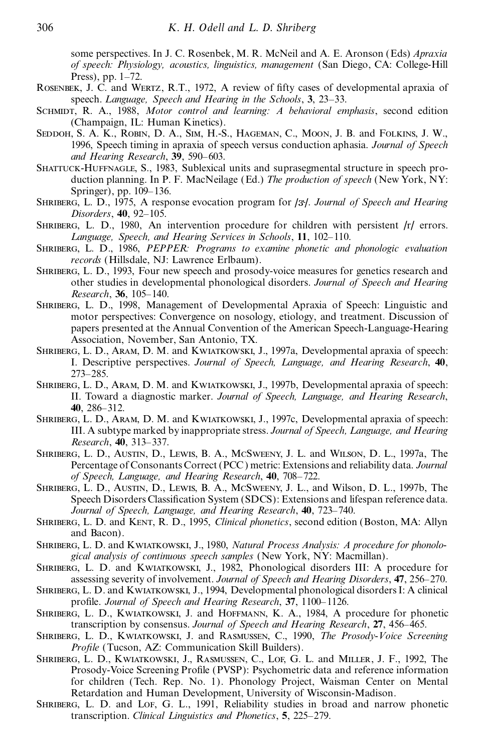some perspectives. In J. C. Rosenbek, M. R. McNeil and A. E. Aronson (Eds) *Apraxia of speech: Physiology, acoustics, linguistics, management* (San Diego, CA: College-Hill Press), pp.  $1-72$ .

- ROSENBEK, J. C. and WERTZ, R.T., 1972, A review of fifty cases of developmental apraxia of speech. *Language, Speech and Hearing in the Schools*, **3**, 23±33.
- Schmidt, R. A., 1988, *Motor control and learning: A behavioral emphasis*, second edition (Champaign, IL: Human Kinetics).
- SEDDOH, S. A. K., ROBIN, D. A., SIM, H.-S., HAGEMAN, C., MOON, J. B. and FOLKINS, J. W., 1996, Speech timing in apraxia of speech versus conduction aphasia. *Journal of Speech and Hearing Research*, 39, 590-603.
- Shattuck-Huffnagle, S., 1983, Sublexical units and suprasegmental structure in speech production planning. In P. F. MacNeilage (Ed.) *The production of speech* (New York, NY: Springer), pp. 109–136.
- SHRIBERG, L. D., 1975, A response evocation program for /3<sup>1</sup>. Journal of Speech and Hearing *Disorders*, 40, 92-105.
- <sup>S</sup>hriberg, L. D., 1980, An intervention procedure for children with persistent /r/ errors. *Language, Speech, and Hearing Services in Schools*, **<sup>11</sup>**, 102±110.
- Shriberg, L. D., 1986, *PEPPER: Programs to examine phonetic and phonologic evaluation records* (Hillsdale, NJ: Lawrence Erlbaum).
- Shriberg, L. D., 1993, Four new speech and prosody-voice measures for genetics research and other studies in developmental phonological disorders. *Journal of Speech and Hearing Research*, 36, 105-140.
- Shriberg, L. D., 1998, Management of Developmental Apraxia of Speech: Linguistic and motor perspectives: Convergence on nosology, etiology, and treatment. Discussion of papers presented at the Annual Convention of the American Speech-Language-Hearing Association, November, San Antonio, TX.
- Shriberg, L. D., Aram, D. M. and Kwiatkowski, J., 1997a, Developmental apraxia of speech: I. Descriptive perspectives. *Journal of Speech, Language, and Hearing Research*, **40**, 273±285.
- Shriberg, L. D., Aram, D. M. and Kwiatkowski, J., 1997b, Developmental apraxia of speech: II. Toward a diagnostic marker. *Journal of Speech, Language, and Hearing Research*, **40**, 286±312.
- Shriberg, L. D., Aram, D. M. and Kwiatkowski, J., 1997c, Developmental apraxia of speech: III. A subtype marked by inappropriate stress. *Journal of Speech, Language, and Hearing Research*, **40**, 313-337.
- Shriberg, L. D., Austin, D., Lewis, B. A., McSweeny, J. L. and Wilson, D. L., 1997a, The Percentage of Consonants Correct (PCC) metric: Extensions and reliability data. *Journal of Speech, Language, and Hearing Research*, **40**, 708±722.
- Shriberg, L. D., Austin, D., Lewis, B. A., McSweeny, J. L., and Wilson, D. L., 1997b, The Speech Disorders Classification System (SDCS): Extensions and lifespan reference data. *Journal of Speech, Language, and Hearing Research*, **40**, 723±740.
- Shriberg, L. D. and Kent, R. D., 1995, *Clinical phonetics*, second edition (Boston, MA: Allyn and Bacon).
- Shriberg, L. D. and Kwiatkowski, J., 1980, *Natural Process Analysis: A procedure for phonological analysis of continuous speech samples* (New York, NY: Macmillan).
- Shriberg, L. D. and Kwiatkowski, J., 1982, Phonological disorders III: A procedure for assessing severity of involvement. *Journal of Speech and Hearing Disorders*, **47**, 256–270.
- SHRIBERG, L. D. and KWIATKOWSKI, J., 1994, Developmental phonological disorders I: A clinical pro®le. *Journal of Speech and Hearing Research*, **37**, 1100±1126.
- Shriberg, L. D., Kwiatkowski, J. and Hoffmann, K. A., 1984, A procedure for phonetic transcription by consensus. *Journal of Speech and Hearing Research*, 27, 456–465.
- Shriberg, L. D., Kwiatkowski, J. and Rasmussen, C., 1990, *The Prosody-Voice Screening Profile* (Tucson, AZ: Communication Skill Builders).
- Shriberg, L. D., Kwiatkowski, J., Rasmussen, C., Lof, G. L. and Miller, J. F., 1992, The Prosody-Voice Screening Profile (PVSP): Psychometric data and reference information for children (Tech. Rep. No. 1). Phonology Project, Waisman Center on Mental Retardation and Human Development, University of Wisconsin-Madison.
- SHRIBERG, L. D. and LOF, G. L., 1991, Reliability studies in broad and narrow phonetic transcription. *Clinical Linguistics and Phonetics*, 5, 225–279.